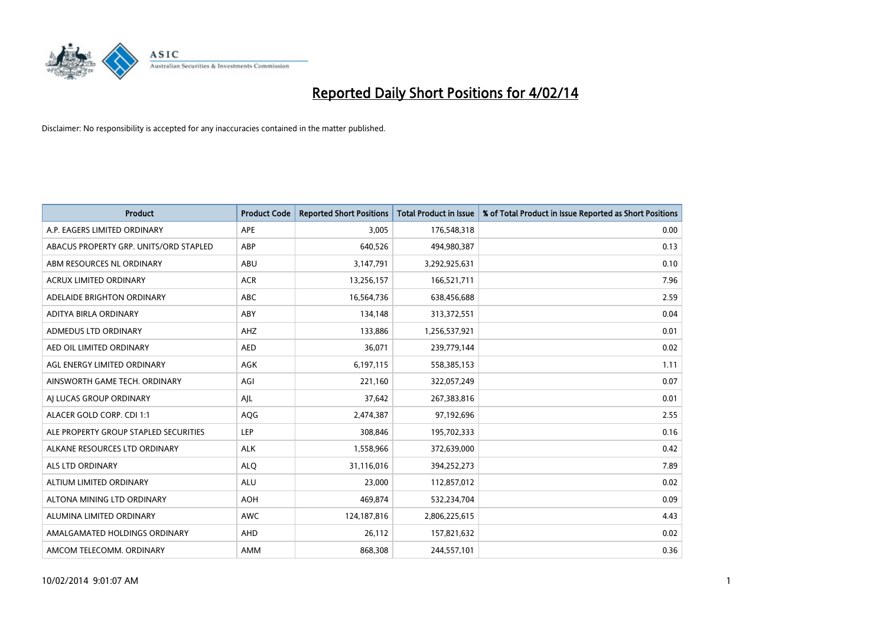

| <b>Product</b>                         | <b>Product Code</b> | <b>Reported Short Positions</b> | <b>Total Product in Issue</b> | % of Total Product in Issue Reported as Short Positions |
|----------------------------------------|---------------------|---------------------------------|-------------------------------|---------------------------------------------------------|
| A.P. EAGERS LIMITED ORDINARY           | APE                 | 3,005                           | 176,548,318                   | 0.00                                                    |
| ABACUS PROPERTY GRP. UNITS/ORD STAPLED | ABP                 | 640,526                         | 494,980,387                   | 0.13                                                    |
| ABM RESOURCES NL ORDINARY              | ABU                 | 3,147,791                       | 3,292,925,631                 | 0.10                                                    |
| ACRUX LIMITED ORDINARY                 | <b>ACR</b>          | 13,256,157                      | 166,521,711                   | 7.96                                                    |
| ADELAIDE BRIGHTON ORDINARY             | <b>ABC</b>          | 16,564,736                      | 638,456,688                   | 2.59                                                    |
| ADITYA BIRLA ORDINARY                  | ABY                 | 134,148                         | 313,372,551                   | 0.04                                                    |
| ADMEDUS LTD ORDINARY                   | AHZ                 | 133,886                         | 1,256,537,921                 | 0.01                                                    |
| AED OIL LIMITED ORDINARY               | <b>AED</b>          | 36,071                          | 239,779,144                   | 0.02                                                    |
| AGL ENERGY LIMITED ORDINARY            | <b>AGK</b>          | 6,197,115                       | 558,385,153                   | 1.11                                                    |
| AINSWORTH GAME TECH. ORDINARY          | AGI                 | 221,160                         | 322,057,249                   | 0.07                                                    |
| AI LUCAS GROUP ORDINARY                | AJL                 | 37,642                          | 267,383,816                   | 0.01                                                    |
| ALACER GOLD CORP. CDI 1:1              | AQG                 | 2,474,387                       | 97,192,696                    | 2.55                                                    |
| ALE PROPERTY GROUP STAPLED SECURITIES  | <b>LEP</b>          | 308,846                         | 195,702,333                   | 0.16                                                    |
| ALKANE RESOURCES LTD ORDINARY          | <b>ALK</b>          | 1,558,966                       | 372,639,000                   | 0.42                                                    |
| ALS LTD ORDINARY                       | <b>ALQ</b>          | 31,116,016                      | 394,252,273                   | 7.89                                                    |
| ALTIUM LIMITED ORDINARY                | <b>ALU</b>          | 23,000                          | 112,857,012                   | 0.02                                                    |
| ALTONA MINING LTD ORDINARY             | <b>AOH</b>          | 469,874                         | 532,234,704                   | 0.09                                                    |
| ALUMINA LIMITED ORDINARY               | <b>AWC</b>          | 124, 187, 816                   | 2,806,225,615                 | 4.43                                                    |
| AMALGAMATED HOLDINGS ORDINARY          | AHD                 | 26,112                          | 157,821,632                   | 0.02                                                    |
| AMCOM TELECOMM. ORDINARY               | AMM                 | 868,308                         | 244,557,101                   | 0.36                                                    |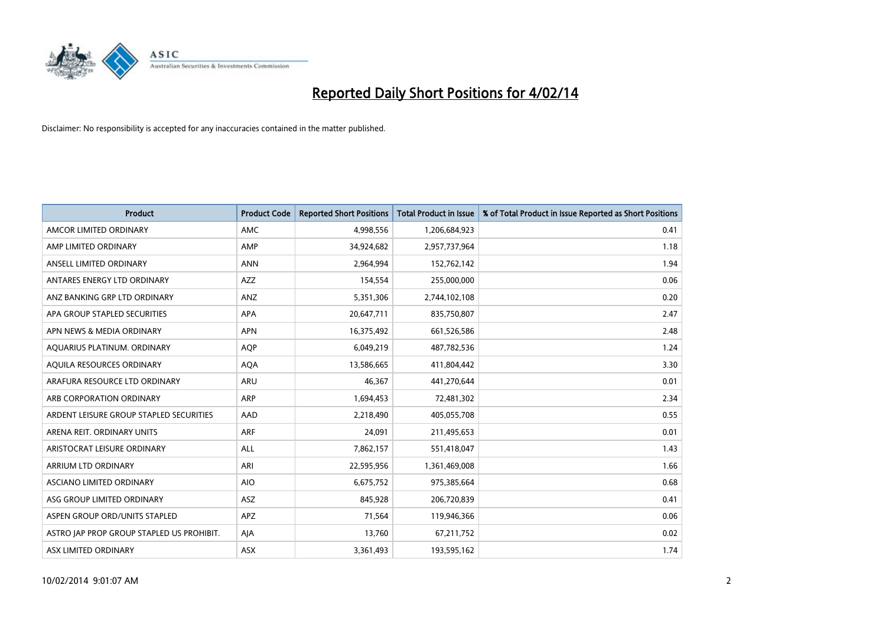

| <b>Product</b>                            | <b>Product Code</b> | <b>Reported Short Positions</b> | <b>Total Product in Issue</b> | % of Total Product in Issue Reported as Short Positions |
|-------------------------------------------|---------------------|---------------------------------|-------------------------------|---------------------------------------------------------|
| AMCOR LIMITED ORDINARY                    | <b>AMC</b>          | 4,998,556                       | 1,206,684,923                 | 0.41                                                    |
| AMP LIMITED ORDINARY                      | AMP                 | 34,924,682                      | 2,957,737,964                 | 1.18                                                    |
| ANSELL LIMITED ORDINARY                   | <b>ANN</b>          | 2,964,994                       | 152,762,142                   | 1.94                                                    |
| ANTARES ENERGY LTD ORDINARY               | <b>AZZ</b>          | 154,554                         | 255,000,000                   | 0.06                                                    |
| ANZ BANKING GRP LTD ORDINARY              | ANZ                 | 5,351,306                       | 2,744,102,108                 | 0.20                                                    |
| APA GROUP STAPLED SECURITIES              | <b>APA</b>          | 20,647,711                      | 835,750,807                   | 2.47                                                    |
| APN NEWS & MEDIA ORDINARY                 | <b>APN</b>          | 16,375,492                      | 661,526,586                   | 2.48                                                    |
| AQUARIUS PLATINUM. ORDINARY               | <b>AOP</b>          | 6,049,219                       | 487,782,536                   | 1.24                                                    |
| AQUILA RESOURCES ORDINARY                 | <b>AQA</b>          | 13,586,665                      | 411,804,442                   | 3.30                                                    |
| ARAFURA RESOURCE LTD ORDINARY             | ARU                 | 46,367                          | 441,270,644                   | 0.01                                                    |
| ARB CORPORATION ORDINARY                  | ARP                 | 1,694,453                       | 72,481,302                    | 2.34                                                    |
| ARDENT LEISURE GROUP STAPLED SECURITIES   | AAD                 | 2,218,490                       | 405,055,708                   | 0.55                                                    |
| ARENA REIT. ORDINARY UNITS                | ARF                 | 24,091                          | 211,495,653                   | 0.01                                                    |
| ARISTOCRAT LEISURE ORDINARY               | ALL                 | 7,862,157                       | 551,418,047                   | 1.43                                                    |
| ARRIUM LTD ORDINARY                       | ARI                 | 22,595,956                      | 1,361,469,008                 | 1.66                                                    |
| ASCIANO LIMITED ORDINARY                  | <b>AIO</b>          | 6,675,752                       | 975,385,664                   | 0.68                                                    |
| ASG GROUP LIMITED ORDINARY                | ASZ                 | 845,928                         | 206,720,839                   | 0.41                                                    |
| ASPEN GROUP ORD/UNITS STAPLED             | <b>APZ</b>          | 71,564                          | 119,946,366                   | 0.06                                                    |
| ASTRO JAP PROP GROUP STAPLED US PROHIBIT. | AJA                 | 13,760                          | 67,211,752                    | 0.02                                                    |
| ASX LIMITED ORDINARY                      | ASX                 | 3,361,493                       | 193,595,162                   | 1.74                                                    |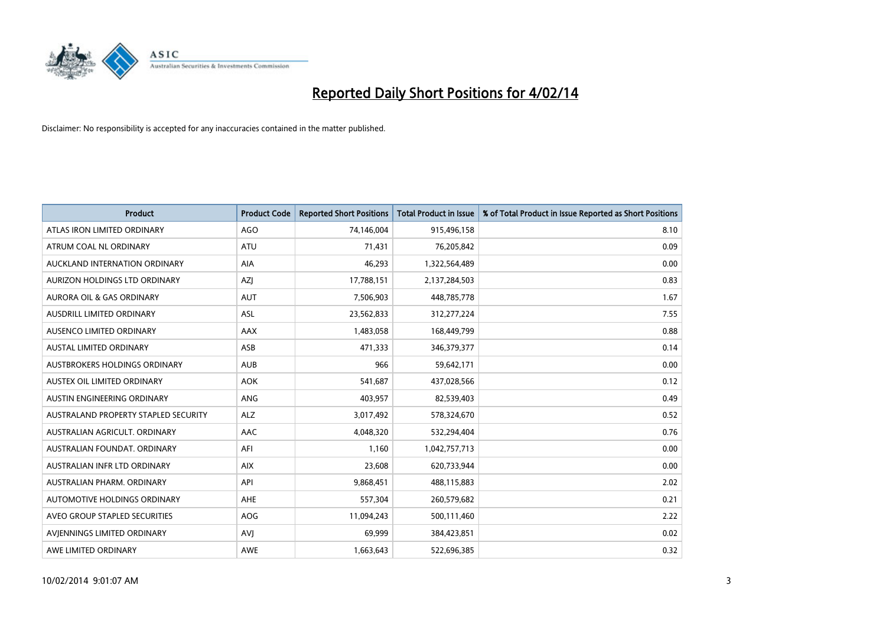

| <b>Product</b>                       | <b>Product Code</b> | <b>Reported Short Positions</b> | <b>Total Product in Issue</b> | % of Total Product in Issue Reported as Short Positions |
|--------------------------------------|---------------------|---------------------------------|-------------------------------|---------------------------------------------------------|
| ATLAS IRON LIMITED ORDINARY          | AGO                 | 74,146,004                      | 915,496,158                   | 8.10                                                    |
| ATRUM COAL NL ORDINARY               | ATU                 | 71,431                          | 76,205,842                    | 0.09                                                    |
| AUCKLAND INTERNATION ORDINARY        | <b>AIA</b>          | 46,293                          | 1,322,564,489                 | 0.00                                                    |
| AURIZON HOLDINGS LTD ORDINARY        | AZJ                 | 17,788,151                      | 2,137,284,503                 | 0.83                                                    |
| <b>AURORA OIL &amp; GAS ORDINARY</b> | <b>AUT</b>          | 7,506,903                       | 448,785,778                   | 1.67                                                    |
| AUSDRILL LIMITED ORDINARY            | <b>ASL</b>          | 23,562,833                      | 312,277,224                   | 7.55                                                    |
| AUSENCO LIMITED ORDINARY             | AAX                 | 1,483,058                       | 168,449,799                   | 0.88                                                    |
| AUSTAL LIMITED ORDINARY              | ASB                 | 471,333                         | 346,379,377                   | 0.14                                                    |
| AUSTBROKERS HOLDINGS ORDINARY        | <b>AUB</b>          | 966                             | 59,642,171                    | 0.00                                                    |
| AUSTEX OIL LIMITED ORDINARY          | <b>AOK</b>          | 541,687                         | 437,028,566                   | 0.12                                                    |
| AUSTIN ENGINEERING ORDINARY          | ANG                 | 403,957                         | 82,539,403                    | 0.49                                                    |
| AUSTRALAND PROPERTY STAPLED SECURITY | <b>ALZ</b>          | 3,017,492                       | 578,324,670                   | 0.52                                                    |
| AUSTRALIAN AGRICULT. ORDINARY        | AAC                 | 4,048,320                       | 532,294,404                   | 0.76                                                    |
| AUSTRALIAN FOUNDAT, ORDINARY         | AFI                 | 1,160                           | 1,042,757,713                 | 0.00                                                    |
| AUSTRALIAN INFR LTD ORDINARY         | <b>AIX</b>          | 23,608                          | 620,733,944                   | 0.00                                                    |
| AUSTRALIAN PHARM. ORDINARY           | API                 | 9,868,451                       | 488,115,883                   | 2.02                                                    |
| AUTOMOTIVE HOLDINGS ORDINARY         | AHE                 | 557,304                         | 260,579,682                   | 0.21                                                    |
| AVEO GROUP STAPLED SECURITIES        | <b>AOG</b>          | 11,094,243                      | 500,111,460                   | 2.22                                                    |
| AVIENNINGS LIMITED ORDINARY          | <b>AVI</b>          | 69,999                          | 384,423,851                   | 0.02                                                    |
| AWE LIMITED ORDINARY                 | <b>AWE</b>          | 1,663,643                       | 522,696,385                   | 0.32                                                    |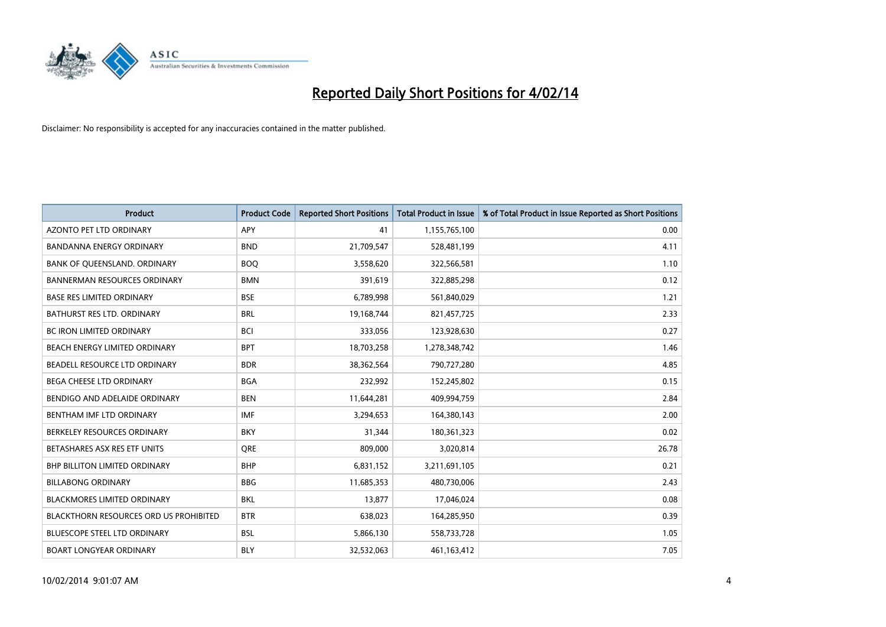

| <b>Product</b>                         | <b>Product Code</b> | <b>Reported Short Positions</b> | <b>Total Product in Issue</b> | % of Total Product in Issue Reported as Short Positions |
|----------------------------------------|---------------------|---------------------------------|-------------------------------|---------------------------------------------------------|
| <b>AZONTO PET LTD ORDINARY</b>         | APY                 | 41                              | 1,155,765,100                 | 0.00                                                    |
| BANDANNA ENERGY ORDINARY               | <b>BND</b>          | 21,709,547                      | 528,481,199                   | 4.11                                                    |
| BANK OF QUEENSLAND. ORDINARY           | <b>BOQ</b>          | 3,558,620                       | 322,566,581                   | 1.10                                                    |
| <b>BANNERMAN RESOURCES ORDINARY</b>    | <b>BMN</b>          | 391,619                         | 322,885,298                   | 0.12                                                    |
| <b>BASE RES LIMITED ORDINARY</b>       | <b>BSE</b>          | 6,789,998                       | 561,840,029                   | 1.21                                                    |
| <b>BATHURST RES LTD. ORDINARY</b>      | <b>BRL</b>          | 19,168,744                      | 821,457,725                   | 2.33                                                    |
| <b>BC IRON LIMITED ORDINARY</b>        | <b>BCI</b>          | 333,056                         | 123,928,630                   | 0.27                                                    |
| BEACH ENERGY LIMITED ORDINARY          | <b>BPT</b>          | 18,703,258                      | 1,278,348,742                 | 1.46                                                    |
| BEADELL RESOURCE LTD ORDINARY          | <b>BDR</b>          | 38,362,564                      | 790,727,280                   | 4.85                                                    |
| <b>BEGA CHEESE LTD ORDINARY</b>        | <b>BGA</b>          | 232,992                         | 152,245,802                   | 0.15                                                    |
| BENDIGO AND ADELAIDE ORDINARY          | <b>BEN</b>          | 11,644,281                      | 409,994,759                   | 2.84                                                    |
| BENTHAM IMF LTD ORDINARY               | <b>IMF</b>          | 3,294,653                       | 164,380,143                   | 2.00                                                    |
| BERKELEY RESOURCES ORDINARY            | <b>BKY</b>          | 31,344                          | 180,361,323                   | 0.02                                                    |
| BETASHARES ASX RES ETF UNITS           | <b>ORE</b>          | 809,000                         | 3,020,814                     | 26.78                                                   |
| <b>BHP BILLITON LIMITED ORDINARY</b>   | <b>BHP</b>          | 6,831,152                       | 3,211,691,105                 | 0.21                                                    |
| <b>BILLABONG ORDINARY</b>              | <b>BBG</b>          | 11,685,353                      | 480,730,006                   | 2.43                                                    |
| BLACKMORES LIMITED ORDINARY            | <b>BKL</b>          | 13,877                          | 17,046,024                    | 0.08                                                    |
| BLACKTHORN RESOURCES ORD US PROHIBITED | <b>BTR</b>          | 638,023                         | 164,285,950                   | 0.39                                                    |
| <b>BLUESCOPE STEEL LTD ORDINARY</b>    | <b>BSL</b>          | 5,866,130                       | 558,733,728                   | 1.05                                                    |
| <b>BOART LONGYEAR ORDINARY</b>         | <b>BLY</b>          | 32,532,063                      | 461,163,412                   | 7.05                                                    |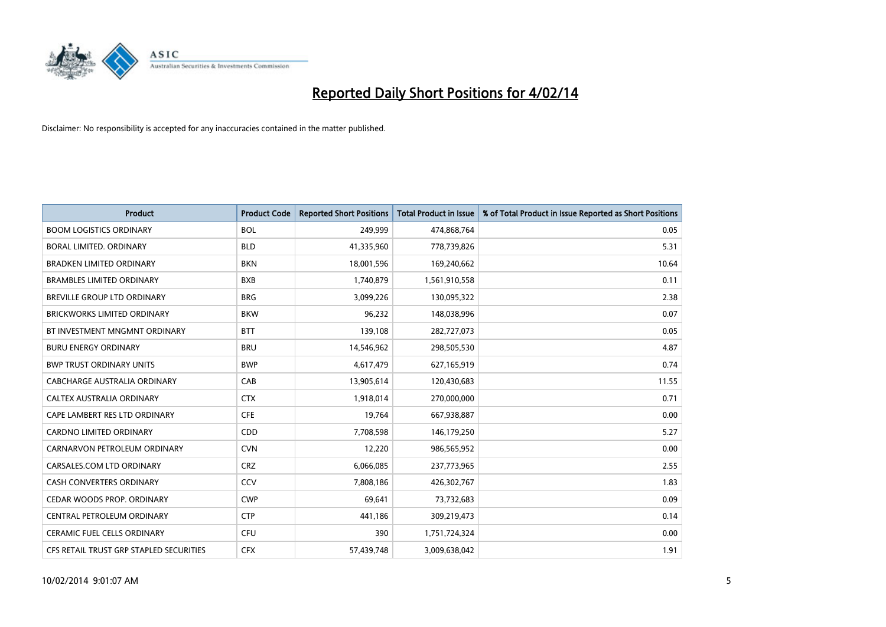

| <b>Product</b>                          | <b>Product Code</b> | <b>Reported Short Positions</b> | <b>Total Product in Issue</b> | % of Total Product in Issue Reported as Short Positions |
|-----------------------------------------|---------------------|---------------------------------|-------------------------------|---------------------------------------------------------|
| <b>BOOM LOGISTICS ORDINARY</b>          | <b>BOL</b>          | 249,999                         | 474,868,764                   | 0.05                                                    |
| <b>BORAL LIMITED, ORDINARY</b>          | <b>BLD</b>          | 41,335,960                      | 778,739,826                   | 5.31                                                    |
| <b>BRADKEN LIMITED ORDINARY</b>         | <b>BKN</b>          | 18,001,596                      | 169,240,662                   | 10.64                                                   |
| <b>BRAMBLES LIMITED ORDINARY</b>        | <b>BXB</b>          | 1,740,879                       | 1,561,910,558                 | 0.11                                                    |
| <b>BREVILLE GROUP LTD ORDINARY</b>      | <b>BRG</b>          | 3,099,226                       | 130,095,322                   | 2.38                                                    |
| <b>BRICKWORKS LIMITED ORDINARY</b>      | <b>BKW</b>          | 96,232                          | 148,038,996                   | 0.07                                                    |
| BT INVESTMENT MNGMNT ORDINARY           | <b>BTT</b>          | 139,108                         | 282,727,073                   | 0.05                                                    |
| <b>BURU ENERGY ORDINARY</b>             | <b>BRU</b>          | 14,546,962                      | 298,505,530                   | 4.87                                                    |
| <b>BWP TRUST ORDINARY UNITS</b>         | <b>BWP</b>          | 4,617,479                       | 627,165,919                   | 0.74                                                    |
| CABCHARGE AUSTRALIA ORDINARY            | CAB                 | 13,905,614                      | 120,430,683                   | 11.55                                                   |
| CALTEX AUSTRALIA ORDINARY               | <b>CTX</b>          | 1,918,014                       | 270,000,000                   | 0.71                                                    |
| CAPE LAMBERT RES LTD ORDINARY           | <b>CFE</b>          | 19,764                          | 667,938,887                   | 0.00                                                    |
| CARDNO LIMITED ORDINARY                 | CDD                 | 7,708,598                       | 146,179,250                   | 5.27                                                    |
| CARNARVON PETROLEUM ORDINARY            | <b>CVN</b>          | 12,220                          | 986,565,952                   | 0.00                                                    |
| CARSALES.COM LTD ORDINARY               | <b>CRZ</b>          | 6,066,085                       | 237,773,965                   | 2.55                                                    |
| CASH CONVERTERS ORDINARY                | CCV                 | 7,808,186                       | 426,302,767                   | 1.83                                                    |
| CEDAR WOODS PROP. ORDINARY              | <b>CWP</b>          | 69,641                          | 73,732,683                    | 0.09                                                    |
| CENTRAL PETROLEUM ORDINARY              | <b>CTP</b>          | 441,186                         | 309,219,473                   | 0.14                                                    |
| <b>CERAMIC FUEL CELLS ORDINARY</b>      | <b>CFU</b>          | 390                             | 1,751,724,324                 | 0.00                                                    |
| CFS RETAIL TRUST GRP STAPLED SECURITIES | <b>CFX</b>          | 57,439,748                      | 3,009,638,042                 | 1.91                                                    |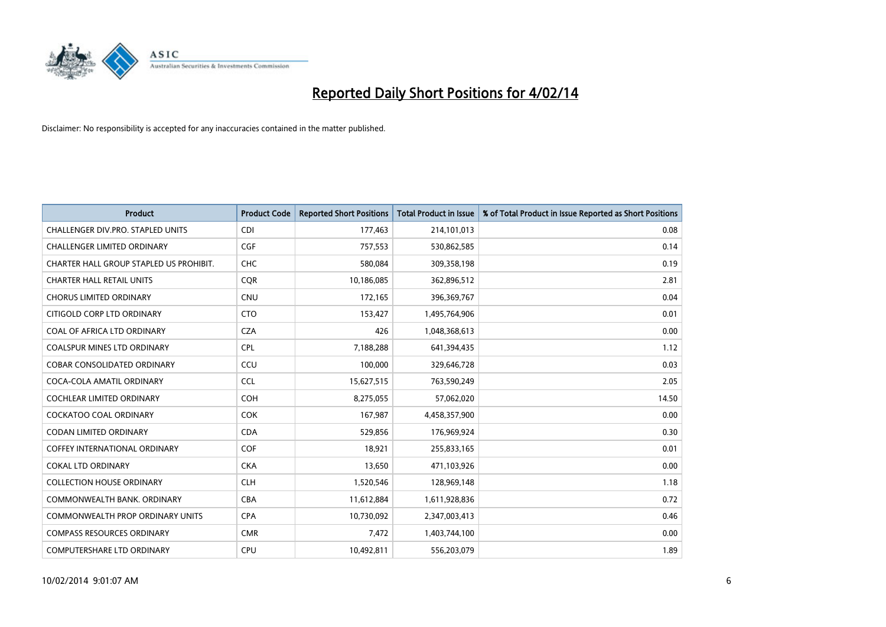

| <b>Product</b>                          | <b>Product Code</b> | <b>Reported Short Positions</b> | <b>Total Product in Issue</b> | % of Total Product in Issue Reported as Short Positions |
|-----------------------------------------|---------------------|---------------------------------|-------------------------------|---------------------------------------------------------|
| CHALLENGER DIV.PRO. STAPLED UNITS       | <b>CDI</b>          | 177,463                         | 214,101,013                   | 0.08                                                    |
| CHALLENGER LIMITED ORDINARY             | <b>CGF</b>          | 757,553                         | 530,862,585                   | 0.14                                                    |
| CHARTER HALL GROUP STAPLED US PROHIBIT. | <b>CHC</b>          | 580,084                         | 309,358,198                   | 0.19                                                    |
| <b>CHARTER HALL RETAIL UNITS</b>        | <b>CQR</b>          | 10,186,085                      | 362,896,512                   | 2.81                                                    |
| <b>CHORUS LIMITED ORDINARY</b>          | <b>CNU</b>          | 172,165                         | 396,369,767                   | 0.04                                                    |
| CITIGOLD CORP LTD ORDINARY              | <b>CTO</b>          | 153,427                         | 1,495,764,906                 | 0.01                                                    |
| COAL OF AFRICA LTD ORDINARY             | <b>CZA</b>          | 426                             | 1,048,368,613                 | 0.00                                                    |
| <b>COALSPUR MINES LTD ORDINARY</b>      | <b>CPL</b>          | 7,188,288                       | 641,394,435                   | 1.12                                                    |
| <b>COBAR CONSOLIDATED ORDINARY</b>      | CCU                 | 100,000                         | 329,646,728                   | 0.03                                                    |
| COCA-COLA AMATIL ORDINARY               | <b>CCL</b>          | 15,627,515                      | 763,590,249                   | 2.05                                                    |
| COCHLEAR LIMITED ORDINARY               | <b>COH</b>          | 8,275,055                       | 57,062,020                    | 14.50                                                   |
| <b>COCKATOO COAL ORDINARY</b>           | <b>COK</b>          | 167,987                         | 4,458,357,900                 | 0.00                                                    |
| CODAN LIMITED ORDINARY                  | <b>CDA</b>          | 529,856                         | 176,969,924                   | 0.30                                                    |
| <b>COFFEY INTERNATIONAL ORDINARY</b>    | <b>COF</b>          | 18,921                          | 255,833,165                   | 0.01                                                    |
| <b>COKAL LTD ORDINARY</b>               | <b>CKA</b>          | 13,650                          | 471,103,926                   | 0.00                                                    |
| <b>COLLECTION HOUSE ORDINARY</b>        | <b>CLH</b>          | 1,520,546                       | 128,969,148                   | 1.18                                                    |
| COMMONWEALTH BANK, ORDINARY             | <b>CBA</b>          | 11,612,884                      | 1,611,928,836                 | 0.72                                                    |
| <b>COMMONWEALTH PROP ORDINARY UNITS</b> | <b>CPA</b>          | 10,730,092                      | 2,347,003,413                 | 0.46                                                    |
| <b>COMPASS RESOURCES ORDINARY</b>       | <b>CMR</b>          | 7,472                           | 1,403,744,100                 | 0.00                                                    |
| COMPUTERSHARE LTD ORDINARY              | <b>CPU</b>          | 10,492,811                      | 556,203,079                   | 1.89                                                    |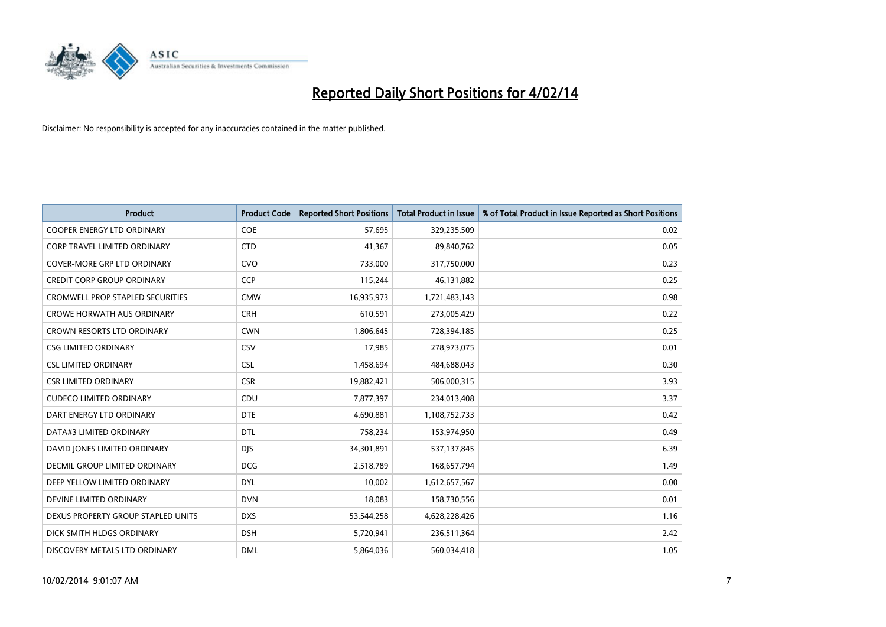

| <b>Product</b>                          | <b>Product Code</b> | <b>Reported Short Positions</b> | <b>Total Product in Issue</b> | % of Total Product in Issue Reported as Short Positions |
|-----------------------------------------|---------------------|---------------------------------|-------------------------------|---------------------------------------------------------|
| <b>COOPER ENERGY LTD ORDINARY</b>       | <b>COE</b>          | 57,695                          | 329,235,509                   | 0.02                                                    |
| CORP TRAVEL LIMITED ORDINARY            | <b>CTD</b>          | 41,367                          | 89,840,762                    | 0.05                                                    |
| <b>COVER-MORE GRP LTD ORDINARY</b>      | <b>CVO</b>          | 733,000                         | 317,750,000                   | 0.23                                                    |
| <b>CREDIT CORP GROUP ORDINARY</b>       | <b>CCP</b>          | 115,244                         | 46,131,882                    | 0.25                                                    |
| <b>CROMWELL PROP STAPLED SECURITIES</b> | <b>CMW</b>          | 16,935,973                      | 1,721,483,143                 | 0.98                                                    |
| <b>CROWE HORWATH AUS ORDINARY</b>       | <b>CRH</b>          | 610,591                         | 273,005,429                   | 0.22                                                    |
| <b>CROWN RESORTS LTD ORDINARY</b>       | <b>CWN</b>          | 1,806,645                       | 728,394,185                   | 0.25                                                    |
| <b>CSG LIMITED ORDINARY</b>             | CSV                 | 17,985                          | 278,973,075                   | 0.01                                                    |
| <b>CSL LIMITED ORDINARY</b>             | <b>CSL</b>          | 1,458,694                       | 484,688,043                   | 0.30                                                    |
| <b>CSR LIMITED ORDINARY</b>             | <b>CSR</b>          | 19,882,421                      | 506,000,315                   | 3.93                                                    |
| <b>CUDECO LIMITED ORDINARY</b>          | CDU                 | 7,877,397                       | 234,013,408                   | 3.37                                                    |
| DART ENERGY LTD ORDINARY                | <b>DTE</b>          | 4,690,881                       | 1,108,752,733                 | 0.42                                                    |
| DATA#3 LIMITED ORDINARY                 | <b>DTL</b>          | 758,234                         | 153,974,950                   | 0.49                                                    |
| DAVID JONES LIMITED ORDINARY            | <b>DJS</b>          | 34,301,891                      | 537,137,845                   | 6.39                                                    |
| <b>DECMIL GROUP LIMITED ORDINARY</b>    | <b>DCG</b>          | 2,518,789                       | 168,657,794                   | 1.49                                                    |
| DEEP YELLOW LIMITED ORDINARY            | DYL                 | 10,002                          | 1,612,657,567                 | 0.00                                                    |
| DEVINE LIMITED ORDINARY                 | <b>DVN</b>          | 18,083                          | 158,730,556                   | 0.01                                                    |
| DEXUS PROPERTY GROUP STAPLED UNITS      | <b>DXS</b>          | 53,544,258                      | 4,628,228,426                 | 1.16                                                    |
| DICK SMITH HLDGS ORDINARY               | <b>DSH</b>          | 5,720,941                       | 236,511,364                   | 2.42                                                    |
| DISCOVERY METALS LTD ORDINARY           | <b>DML</b>          | 5,864,036                       | 560,034,418                   | 1.05                                                    |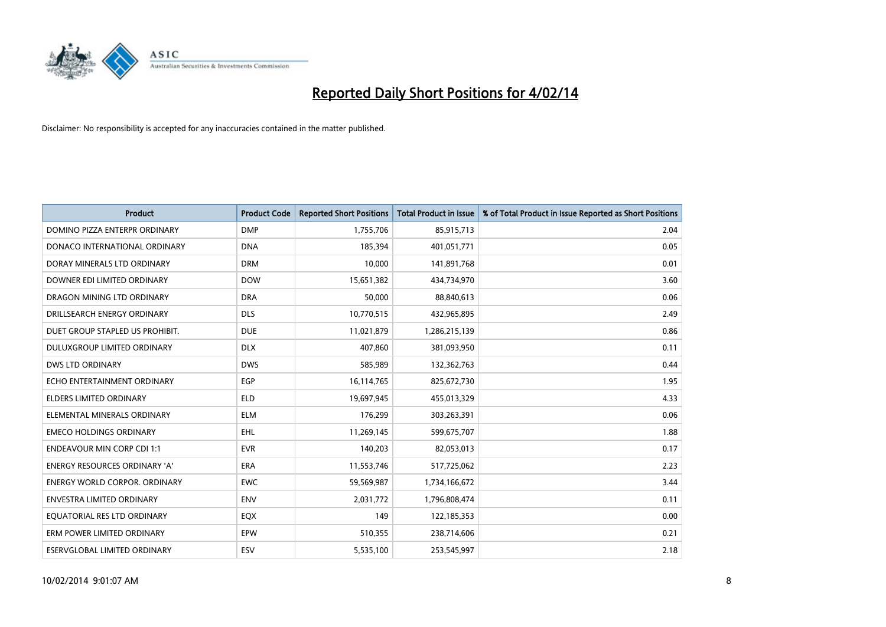

| <b>Product</b>                       | <b>Product Code</b> | <b>Reported Short Positions</b> | <b>Total Product in Issue</b> | % of Total Product in Issue Reported as Short Positions |
|--------------------------------------|---------------------|---------------------------------|-------------------------------|---------------------------------------------------------|
| DOMINO PIZZA ENTERPR ORDINARY        | <b>DMP</b>          | 1,755,706                       | 85,915,713                    | 2.04                                                    |
| DONACO INTERNATIONAL ORDINARY        | <b>DNA</b>          | 185,394                         | 401,051,771                   | 0.05                                                    |
| DORAY MINERALS LTD ORDINARY          | <b>DRM</b>          | 10,000                          | 141,891,768                   | 0.01                                                    |
| DOWNER EDI LIMITED ORDINARY          | <b>DOW</b>          | 15,651,382                      | 434,734,970                   | 3.60                                                    |
| DRAGON MINING LTD ORDINARY           | <b>DRA</b>          | 50,000                          | 88,840,613                    | 0.06                                                    |
| DRILLSEARCH ENERGY ORDINARY          | <b>DLS</b>          | 10,770,515                      | 432,965,895                   | 2.49                                                    |
| DUET GROUP STAPLED US PROHIBIT.      | <b>DUE</b>          | 11,021,879                      | 1,286,215,139                 | 0.86                                                    |
| DULUXGROUP LIMITED ORDINARY          | <b>DLX</b>          | 407,860                         | 381,093,950                   | 0.11                                                    |
| <b>DWS LTD ORDINARY</b>              | <b>DWS</b>          | 585,989                         | 132,362,763                   | 0.44                                                    |
| ECHO ENTERTAINMENT ORDINARY          | <b>EGP</b>          | 16,114,765                      | 825,672,730                   | 1.95                                                    |
| ELDERS LIMITED ORDINARY              | <b>ELD</b>          | 19,697,945                      | 455,013,329                   | 4.33                                                    |
| ELEMENTAL MINERALS ORDINARY          | <b>ELM</b>          | 176,299                         | 303,263,391                   | 0.06                                                    |
| <b>EMECO HOLDINGS ORDINARY</b>       | <b>EHL</b>          | 11,269,145                      | 599,675,707                   | 1.88                                                    |
| <b>ENDEAVOUR MIN CORP CDI 1:1</b>    | <b>EVR</b>          | 140,203                         | 82,053,013                    | 0.17                                                    |
| <b>ENERGY RESOURCES ORDINARY 'A'</b> | <b>ERA</b>          | 11,553,746                      | 517,725,062                   | 2.23                                                    |
| <b>ENERGY WORLD CORPOR. ORDINARY</b> | <b>EWC</b>          | 59,569,987                      | 1,734,166,672                 | 3.44                                                    |
| ENVESTRA LIMITED ORDINARY            | ENV                 | 2,031,772                       | 1,796,808,474                 | 0.11                                                    |
| EQUATORIAL RES LTD ORDINARY          | EQX                 | 149                             | 122,185,353                   | 0.00                                                    |
| ERM POWER LIMITED ORDINARY           | EPW                 | 510,355                         | 238,714,606                   | 0.21                                                    |
| ESERVGLOBAL LIMITED ORDINARY         | ESV                 | 5,535,100                       | 253,545,997                   | 2.18                                                    |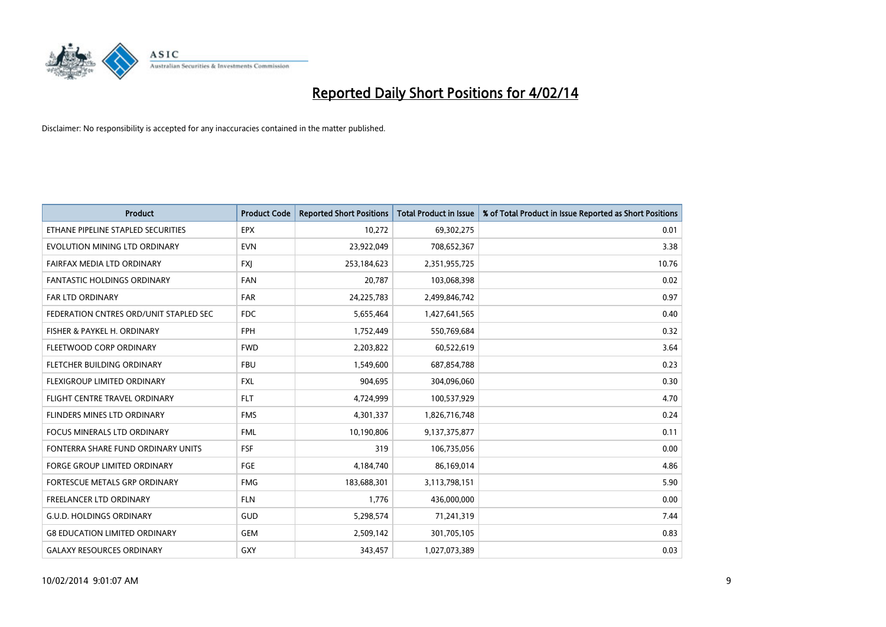

| <b>Product</b>                         | <b>Product Code</b> | <b>Reported Short Positions</b> | <b>Total Product in Issue</b> | % of Total Product in Issue Reported as Short Positions |
|----------------------------------------|---------------------|---------------------------------|-------------------------------|---------------------------------------------------------|
| ETHANE PIPELINE STAPLED SECURITIES     | <b>EPX</b>          | 10,272                          | 69,302,275                    | 0.01                                                    |
| EVOLUTION MINING LTD ORDINARY          | <b>EVN</b>          | 23,922,049                      | 708,652,367                   | 3.38                                                    |
| FAIRFAX MEDIA LTD ORDINARY             | <b>FXI</b>          | 253,184,623                     | 2,351,955,725                 | 10.76                                                   |
| FANTASTIC HOLDINGS ORDINARY            | <b>FAN</b>          | 20,787                          | 103,068,398                   | 0.02                                                    |
| <b>FAR LTD ORDINARY</b>                | <b>FAR</b>          | 24,225,783                      | 2,499,846,742                 | 0.97                                                    |
| FEDERATION CNTRES ORD/UNIT STAPLED SEC | <b>FDC</b>          | 5,655,464                       | 1,427,641,565                 | 0.40                                                    |
| FISHER & PAYKEL H. ORDINARY            | <b>FPH</b>          | 1,752,449                       | 550,769,684                   | 0.32                                                    |
| FLEETWOOD CORP ORDINARY                | <b>FWD</b>          | 2,203,822                       | 60,522,619                    | 3.64                                                    |
| FLETCHER BUILDING ORDINARY             | <b>FBU</b>          | 1,549,600                       | 687,854,788                   | 0.23                                                    |
| FLEXIGROUP LIMITED ORDINARY            | <b>FXL</b>          | 904,695                         | 304,096,060                   | 0.30                                                    |
| FLIGHT CENTRE TRAVEL ORDINARY          | <b>FLT</b>          | 4,724,999                       | 100,537,929                   | 4.70                                                    |
| FLINDERS MINES LTD ORDINARY            | <b>FMS</b>          | 4,301,337                       | 1,826,716,748                 | 0.24                                                    |
| <b>FOCUS MINERALS LTD ORDINARY</b>     | <b>FML</b>          | 10,190,806                      | 9,137,375,877                 | 0.11                                                    |
| FONTERRA SHARE FUND ORDINARY UNITS     | FSF                 | 319                             | 106,735,056                   | 0.00                                                    |
| <b>FORGE GROUP LIMITED ORDINARY</b>    | FGE                 | 4,184,740                       | 86,169,014                    | 4.86                                                    |
| FORTESCUE METALS GRP ORDINARY          | <b>FMG</b>          | 183,688,301                     | 3,113,798,151                 | 5.90                                                    |
| FREELANCER LTD ORDINARY                | <b>FLN</b>          | 1,776                           | 436,000,000                   | 0.00                                                    |
| <b>G.U.D. HOLDINGS ORDINARY</b>        | GUD                 | 5,298,574                       | 71,241,319                    | 7.44                                                    |
| <b>G8 EDUCATION LIMITED ORDINARY</b>   | <b>GEM</b>          | 2,509,142                       | 301,705,105                   | 0.83                                                    |
| <b>GALAXY RESOURCES ORDINARY</b>       | GXY                 | 343,457                         | 1,027,073,389                 | 0.03                                                    |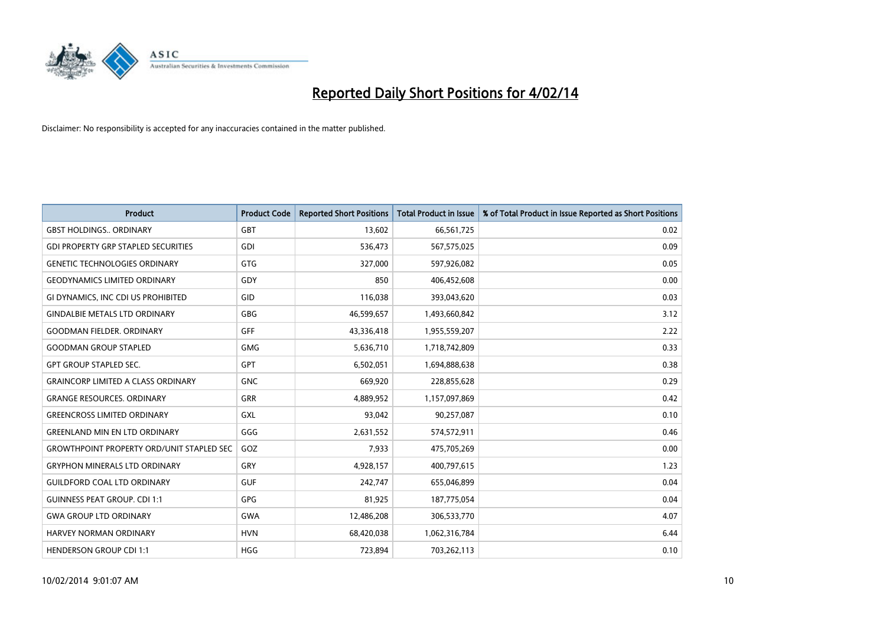

| <b>Product</b>                                   | <b>Product Code</b> | <b>Reported Short Positions</b> | <b>Total Product in Issue</b> | % of Total Product in Issue Reported as Short Positions |
|--------------------------------------------------|---------------------|---------------------------------|-------------------------------|---------------------------------------------------------|
| <b>GBST HOLDINGS., ORDINARY</b>                  | <b>GBT</b>          | 13,602                          | 66,561,725                    | 0.02                                                    |
| <b>GDI PROPERTY GRP STAPLED SECURITIES</b>       | GDI                 | 536,473                         | 567,575,025                   | 0.09                                                    |
| <b>GENETIC TECHNOLOGIES ORDINARY</b>             | <b>GTG</b>          | 327,000                         | 597,926,082                   | 0.05                                                    |
| <b>GEODYNAMICS LIMITED ORDINARY</b>              | GDY                 | 850                             | 406,452,608                   | 0.00                                                    |
| GI DYNAMICS, INC CDI US PROHIBITED               | GID                 | 116,038                         | 393,043,620                   | 0.03                                                    |
| <b>GINDALBIE METALS LTD ORDINARY</b>             | <b>GBG</b>          | 46,599,657                      | 1,493,660,842                 | 3.12                                                    |
| <b>GOODMAN FIELDER, ORDINARY</b>                 | <b>GFF</b>          | 43,336,418                      | 1,955,559,207                 | 2.22                                                    |
| <b>GOODMAN GROUP STAPLED</b>                     | <b>GMG</b>          | 5,636,710                       | 1,718,742,809                 | 0.33                                                    |
| <b>GPT GROUP STAPLED SEC.</b>                    | <b>GPT</b>          | 6,502,051                       | 1,694,888,638                 | 0.38                                                    |
| <b>GRAINCORP LIMITED A CLASS ORDINARY</b>        | <b>GNC</b>          | 669,920                         | 228,855,628                   | 0.29                                                    |
| <b>GRANGE RESOURCES. ORDINARY</b>                | GRR                 | 4,889,952                       | 1,157,097,869                 | 0.42                                                    |
| <b>GREENCROSS LIMITED ORDINARY</b>               | GXL                 | 93,042                          | 90,257,087                    | 0.10                                                    |
| <b>GREENLAND MIN EN LTD ORDINARY</b>             | GGG                 | 2,631,552                       | 574,572,911                   | 0.46                                                    |
| <b>GROWTHPOINT PROPERTY ORD/UNIT STAPLED SEC</b> | GOZ                 | 7,933                           | 475,705,269                   | 0.00                                                    |
| <b>GRYPHON MINERALS LTD ORDINARY</b>             | GRY                 | 4,928,157                       | 400,797,615                   | 1.23                                                    |
| <b>GUILDFORD COAL LTD ORDINARY</b>               | <b>GUF</b>          | 242,747                         | 655,046,899                   | 0.04                                                    |
| <b>GUINNESS PEAT GROUP. CDI 1:1</b>              | GPG                 | 81,925                          | 187,775,054                   | 0.04                                                    |
| <b>GWA GROUP LTD ORDINARY</b>                    | <b>GWA</b>          | 12,486,208                      | 306,533,770                   | 4.07                                                    |
| <b>HARVEY NORMAN ORDINARY</b>                    | <b>HVN</b>          | 68,420,038                      | 1,062,316,784                 | 6.44                                                    |
| <b>HENDERSON GROUP CDI 1:1</b>                   | <b>HGG</b>          | 723,894                         | 703,262,113                   | 0.10                                                    |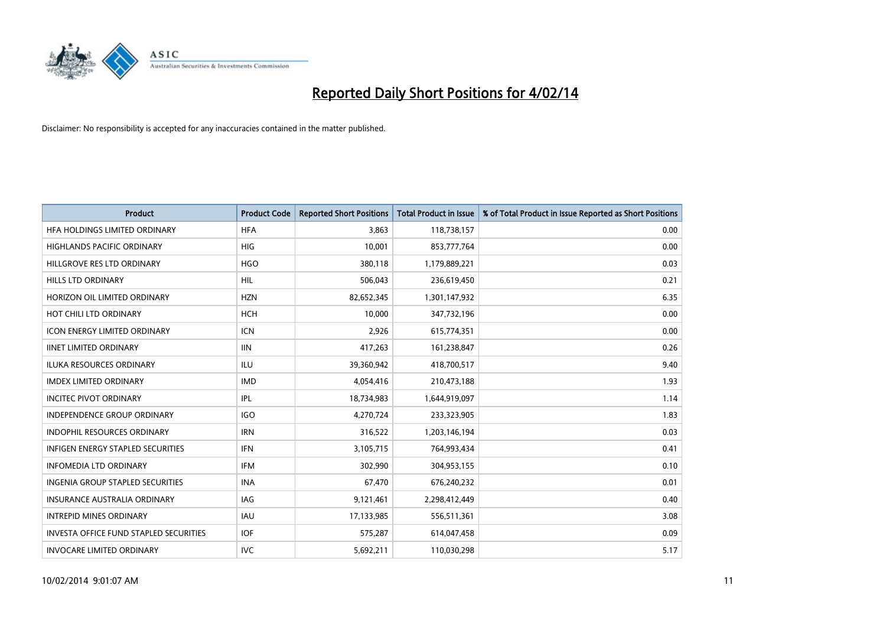

| <b>Product</b>                                | <b>Product Code</b> | <b>Reported Short Positions</b> | <b>Total Product in Issue</b> | % of Total Product in Issue Reported as Short Positions |
|-----------------------------------------------|---------------------|---------------------------------|-------------------------------|---------------------------------------------------------|
| HFA HOLDINGS LIMITED ORDINARY                 | <b>HFA</b>          | 3,863                           | 118,738,157                   | 0.00                                                    |
| HIGHLANDS PACIFIC ORDINARY                    | HIG                 | 10,001                          | 853,777,764                   | 0.00                                                    |
| HILLGROVE RES LTD ORDINARY                    | <b>HGO</b>          | 380,118                         | 1,179,889,221                 | 0.03                                                    |
| HILLS LTD ORDINARY                            | HIL                 | 506,043                         | 236,619,450                   | 0.21                                                    |
| HORIZON OIL LIMITED ORDINARY                  | <b>HZN</b>          | 82,652,345                      | 1,301,147,932                 | 6.35                                                    |
| HOT CHILI LTD ORDINARY                        | HCH                 | 10,000                          | 347,732,196                   | 0.00                                                    |
| <b>ICON ENERGY LIMITED ORDINARY</b>           | <b>ICN</b>          | 2,926                           | 615,774,351                   | 0.00                                                    |
| <b>IINET LIMITED ORDINARY</b>                 | <b>IIN</b>          | 417,263                         | 161,238,847                   | 0.26                                                    |
| <b>ILUKA RESOURCES ORDINARY</b>               | ILU                 | 39,360,942                      | 418,700,517                   | 9.40                                                    |
| <b>IMDEX LIMITED ORDINARY</b>                 | <b>IMD</b>          | 4,054,416                       | 210,473,188                   | 1.93                                                    |
| <b>INCITEC PIVOT ORDINARY</b>                 | IPL                 | 18,734,983                      | 1,644,919,097                 | 1.14                                                    |
| <b>INDEPENDENCE GROUP ORDINARY</b>            | <b>IGO</b>          | 4,270,724                       | 233,323,905                   | 1.83                                                    |
| INDOPHIL RESOURCES ORDINARY                   | <b>IRN</b>          | 316,522                         | 1,203,146,194                 | 0.03                                                    |
| <b>INFIGEN ENERGY STAPLED SECURITIES</b>      | <b>IFN</b>          | 3,105,715                       | 764,993,434                   | 0.41                                                    |
| <b>INFOMEDIA LTD ORDINARY</b>                 | <b>IFM</b>          | 302,990                         | 304,953,155                   | 0.10                                                    |
| INGENIA GROUP STAPLED SECURITIES              | <b>INA</b>          | 67,470                          | 676,240,232                   | 0.01                                                    |
| INSURANCE AUSTRALIA ORDINARY                  | IAG                 | 9,121,461                       | 2,298,412,449                 | 0.40                                                    |
| <b>INTREPID MINES ORDINARY</b>                | <b>IAU</b>          | 17,133,985                      | 556,511,361                   | 3.08                                                    |
| <b>INVESTA OFFICE FUND STAPLED SECURITIES</b> | <b>IOF</b>          | 575,287                         | 614,047,458                   | 0.09                                                    |
| <b>INVOCARE LIMITED ORDINARY</b>              | <b>IVC</b>          | 5,692,211                       | 110,030,298                   | 5.17                                                    |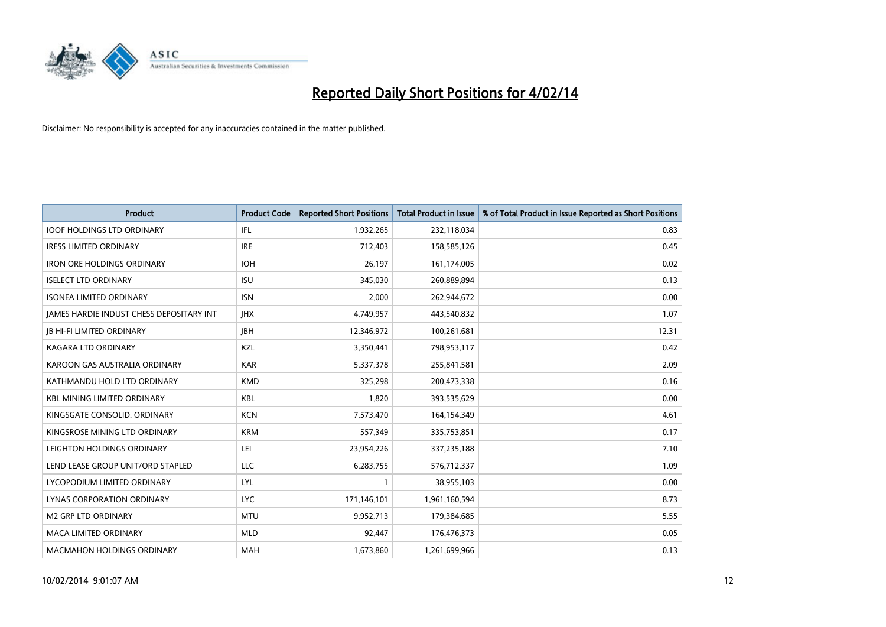

| <b>Product</b>                           | <b>Product Code</b> | <b>Reported Short Positions</b> | <b>Total Product in Issue</b> | % of Total Product in Issue Reported as Short Positions |
|------------------------------------------|---------------------|---------------------------------|-------------------------------|---------------------------------------------------------|
| <b>IOOF HOLDINGS LTD ORDINARY</b>        | IFL                 | 1,932,265                       | 232,118,034                   | 0.83                                                    |
| <b>IRESS LIMITED ORDINARY</b>            | <b>IRE</b>          | 712,403                         | 158,585,126                   | 0.45                                                    |
| <b>IRON ORE HOLDINGS ORDINARY</b>        | <b>IOH</b>          | 26.197                          | 161,174,005                   | 0.02                                                    |
| <b>ISELECT LTD ORDINARY</b>              | <b>ISU</b>          | 345,030                         | 260,889,894                   | 0.13                                                    |
| <b>ISONEA LIMITED ORDINARY</b>           | <b>ISN</b>          | 2,000                           | 262,944,672                   | 0.00                                                    |
| JAMES HARDIE INDUST CHESS DEPOSITARY INT | <b>IHX</b>          | 4,749,957                       | 443,540,832                   | 1.07                                                    |
| <b>JB HI-FI LIMITED ORDINARY</b>         | <b>IBH</b>          | 12,346,972                      | 100,261,681                   | 12.31                                                   |
| KAGARA LTD ORDINARY                      | KZL                 | 3,350,441                       | 798,953,117                   | 0.42                                                    |
| KAROON GAS AUSTRALIA ORDINARY            | <b>KAR</b>          | 5,337,378                       | 255,841,581                   | 2.09                                                    |
| KATHMANDU HOLD LTD ORDINARY              | <b>KMD</b>          | 325,298                         | 200,473,338                   | 0.16                                                    |
| <b>KBL MINING LIMITED ORDINARY</b>       | <b>KBL</b>          | 1,820                           | 393,535,629                   | 0.00                                                    |
| KINGSGATE CONSOLID, ORDINARY             | <b>KCN</b>          | 7,573,470                       | 164,154,349                   | 4.61                                                    |
| KINGSROSE MINING LTD ORDINARY            | <b>KRM</b>          | 557,349                         | 335,753,851                   | 0.17                                                    |
| LEIGHTON HOLDINGS ORDINARY               | LEI                 | 23,954,226                      | 337,235,188                   | 7.10                                                    |
| LEND LEASE GROUP UNIT/ORD STAPLED        | <b>LLC</b>          | 6,283,755                       | 576,712,337                   | 1.09                                                    |
| LYCOPODIUM LIMITED ORDINARY              | <b>LYL</b>          |                                 | 38,955,103                    | 0.00                                                    |
| LYNAS CORPORATION ORDINARY               | <b>LYC</b>          | 171,146,101                     | 1,961,160,594                 | 8.73                                                    |
| <b>M2 GRP LTD ORDINARY</b>               | <b>MTU</b>          | 9,952,713                       | 179,384,685                   | 5.55                                                    |
| <b>MACA LIMITED ORDINARY</b>             | <b>MLD</b>          | 92,447                          | 176,476,373                   | 0.05                                                    |
| <b>MACMAHON HOLDINGS ORDINARY</b>        | <b>MAH</b>          | 1,673,860                       | 1,261,699,966                 | 0.13                                                    |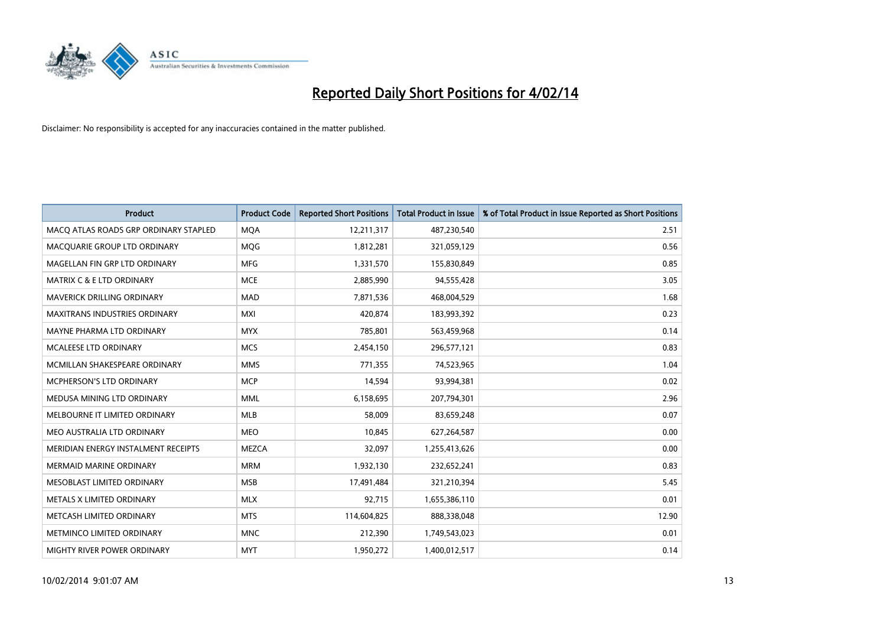

| <b>Product</b>                        | <b>Product Code</b> | <b>Reported Short Positions</b> | <b>Total Product in Issue</b> | % of Total Product in Issue Reported as Short Positions |
|---------------------------------------|---------------------|---------------------------------|-------------------------------|---------------------------------------------------------|
| MACO ATLAS ROADS GRP ORDINARY STAPLED | <b>MQA</b>          | 12,211,317                      | 487,230,540                   | 2.51                                                    |
| MACQUARIE GROUP LTD ORDINARY          | <b>MQG</b>          | 1,812,281                       | 321,059,129                   | 0.56                                                    |
| MAGELLAN FIN GRP LTD ORDINARY         | <b>MFG</b>          | 1,331,570                       | 155,830,849                   | 0.85                                                    |
| <b>MATRIX C &amp; E LTD ORDINARY</b>  | <b>MCE</b>          | 2,885,990                       | 94,555,428                    | 3.05                                                    |
| MAVERICK DRILLING ORDINARY            | <b>MAD</b>          | 7,871,536                       | 468,004,529                   | 1.68                                                    |
| <b>MAXITRANS INDUSTRIES ORDINARY</b>  | <b>MXI</b>          | 420,874                         | 183,993,392                   | 0.23                                                    |
| MAYNE PHARMA LTD ORDINARY             | <b>MYX</b>          | 785,801                         | 563,459,968                   | 0.14                                                    |
| MCALEESE LTD ORDINARY                 | <b>MCS</b>          | 2,454,150                       | 296,577,121                   | 0.83                                                    |
| MCMILLAN SHAKESPEARE ORDINARY         | <b>MMS</b>          | 771,355                         | 74,523,965                    | 1.04                                                    |
| <b>MCPHERSON'S LTD ORDINARY</b>       | <b>MCP</b>          | 14,594                          | 93,994,381                    | 0.02                                                    |
| MEDUSA MINING LTD ORDINARY            | <b>MML</b>          | 6,158,695                       | 207,794,301                   | 2.96                                                    |
| MELBOURNE IT LIMITED ORDINARY         | MLB                 | 58,009                          | 83,659,248                    | 0.07                                                    |
| MEO AUSTRALIA LTD ORDINARY            | <b>MEO</b>          | 10,845                          | 627,264,587                   | 0.00                                                    |
| MERIDIAN ENERGY INSTALMENT RECEIPTS   | <b>MEZCA</b>        | 32,097                          | 1,255,413,626                 | 0.00                                                    |
| <b>MERMAID MARINE ORDINARY</b>        | <b>MRM</b>          | 1,932,130                       | 232,652,241                   | 0.83                                                    |
| MESOBLAST LIMITED ORDINARY            | <b>MSB</b>          | 17,491,484                      | 321,210,394                   | 5.45                                                    |
| METALS X LIMITED ORDINARY             | <b>MLX</b>          | 92,715                          | 1,655,386,110                 | 0.01                                                    |
| METCASH LIMITED ORDINARY              | <b>MTS</b>          | 114,604,825                     | 888,338,048                   | 12.90                                                   |
| METMINCO LIMITED ORDINARY             | <b>MNC</b>          | 212,390                         | 1,749,543,023                 | 0.01                                                    |
| MIGHTY RIVER POWER ORDINARY           | <b>MYT</b>          | 1,950,272                       | 1,400,012,517                 | 0.14                                                    |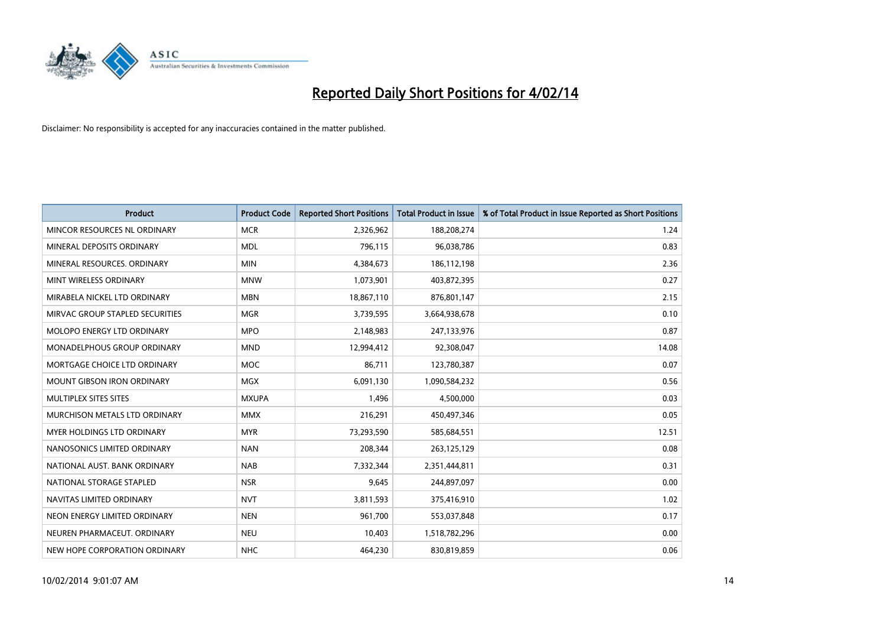

| <b>Product</b>                     | <b>Product Code</b> | <b>Reported Short Positions</b> | <b>Total Product in Issue</b> | % of Total Product in Issue Reported as Short Positions |
|------------------------------------|---------------------|---------------------------------|-------------------------------|---------------------------------------------------------|
| MINCOR RESOURCES NL ORDINARY       | <b>MCR</b>          | 2,326,962                       | 188,208,274                   | 1.24                                                    |
| MINERAL DEPOSITS ORDINARY          | <b>MDL</b>          | 796,115                         | 96,038,786                    | 0.83                                                    |
| MINERAL RESOURCES, ORDINARY        | <b>MIN</b>          | 4,384,673                       | 186,112,198                   | 2.36                                                    |
| MINT WIRELESS ORDINARY             | <b>MNW</b>          | 1,073,901                       | 403,872,395                   | 0.27                                                    |
| MIRABELA NICKEL LTD ORDINARY       | <b>MBN</b>          | 18,867,110                      | 876,801,147                   | 2.15                                                    |
| MIRVAC GROUP STAPLED SECURITIES    | <b>MGR</b>          | 3,739,595                       | 3,664,938,678                 | 0.10                                                    |
| MOLOPO ENERGY LTD ORDINARY         | <b>MPO</b>          | 2,148,983                       | 247,133,976                   | 0.87                                                    |
| <b>MONADELPHOUS GROUP ORDINARY</b> | <b>MND</b>          | 12,994,412                      | 92,308,047                    | 14.08                                                   |
| MORTGAGE CHOICE LTD ORDINARY       | <b>MOC</b>          | 86,711                          | 123,780,387                   | 0.07                                                    |
| <b>MOUNT GIBSON IRON ORDINARY</b>  | <b>MGX</b>          | 6,091,130                       | 1,090,584,232                 | 0.56                                                    |
| MULTIPLEX SITES SITES              | <b>MXUPA</b>        | 1,496                           | 4,500,000                     | 0.03                                                    |
| MURCHISON METALS LTD ORDINARY      | <b>MMX</b>          | 216,291                         | 450,497,346                   | 0.05                                                    |
| MYER HOLDINGS LTD ORDINARY         | <b>MYR</b>          | 73,293,590                      | 585,684,551                   | 12.51                                                   |
| NANOSONICS LIMITED ORDINARY        | <b>NAN</b>          | 208,344                         | 263,125,129                   | 0.08                                                    |
| NATIONAL AUST. BANK ORDINARY       | <b>NAB</b>          | 7,332,344                       | 2,351,444,811                 | 0.31                                                    |
| NATIONAL STORAGE STAPLED           | <b>NSR</b>          | 9,645                           | 244,897,097                   | 0.00                                                    |
| NAVITAS LIMITED ORDINARY           | <b>NVT</b>          | 3,811,593                       | 375,416,910                   | 1.02                                                    |
| NEON ENERGY LIMITED ORDINARY       | <b>NEN</b>          | 961,700                         | 553,037,848                   | 0.17                                                    |
| NEUREN PHARMACEUT, ORDINARY        | <b>NEU</b>          | 10,403                          | 1,518,782,296                 | 0.00                                                    |
| NEW HOPE CORPORATION ORDINARY      | <b>NHC</b>          | 464,230                         | 830,819,859                   | 0.06                                                    |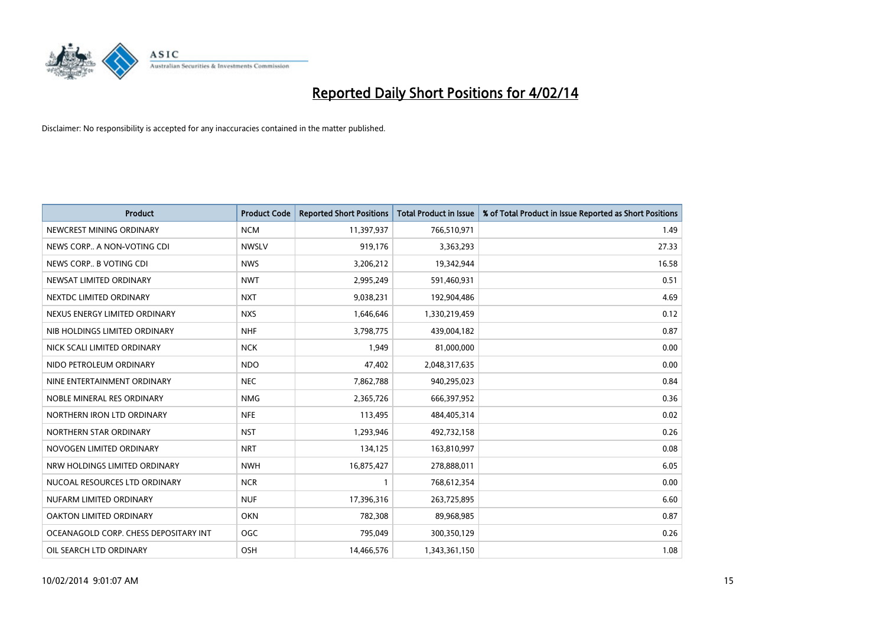

| <b>Product</b>                        | <b>Product Code</b> | <b>Reported Short Positions</b> | <b>Total Product in Issue</b> | % of Total Product in Issue Reported as Short Positions |
|---------------------------------------|---------------------|---------------------------------|-------------------------------|---------------------------------------------------------|
| NEWCREST MINING ORDINARY              | <b>NCM</b>          | 11,397,937                      | 766,510,971                   | 1.49                                                    |
| NEWS CORP A NON-VOTING CDI            | <b>NWSLV</b>        | 919,176                         | 3,363,293                     | 27.33                                                   |
| NEWS CORP B VOTING CDI                | <b>NWS</b>          | 3,206,212                       | 19,342,944                    | 16.58                                                   |
| NEWSAT LIMITED ORDINARY               | <b>NWT</b>          | 2,995,249                       | 591,460,931                   | 0.51                                                    |
| NEXTDC LIMITED ORDINARY               | <b>NXT</b>          | 9,038,231                       | 192,904,486                   | 4.69                                                    |
| NEXUS ENERGY LIMITED ORDINARY         | <b>NXS</b>          | 1,646,646                       | 1,330,219,459                 | 0.12                                                    |
| NIB HOLDINGS LIMITED ORDINARY         | <b>NHF</b>          | 3,798,775                       | 439,004,182                   | 0.87                                                    |
| NICK SCALI LIMITED ORDINARY           | <b>NCK</b>          | 1,949                           | 81,000,000                    | 0.00                                                    |
| NIDO PETROLEUM ORDINARY               | <b>NDO</b>          | 47,402                          | 2,048,317,635                 | 0.00                                                    |
| NINE ENTERTAINMENT ORDINARY           | <b>NEC</b>          | 7,862,788                       | 940,295,023                   | 0.84                                                    |
| NOBLE MINERAL RES ORDINARY            | <b>NMG</b>          | 2,365,726                       | 666,397,952                   | 0.36                                                    |
| NORTHERN IRON LTD ORDINARY            | <b>NFE</b>          | 113,495                         | 484,405,314                   | 0.02                                                    |
| NORTHERN STAR ORDINARY                | <b>NST</b>          | 1,293,946                       | 492,732,158                   | 0.26                                                    |
| NOVOGEN LIMITED ORDINARY              | <b>NRT</b>          | 134,125                         | 163,810,997                   | 0.08                                                    |
| NRW HOLDINGS LIMITED ORDINARY         | <b>NWH</b>          | 16,875,427                      | 278,888,011                   | 6.05                                                    |
| NUCOAL RESOURCES LTD ORDINARY         | <b>NCR</b>          |                                 | 768,612,354                   | 0.00                                                    |
| NUFARM LIMITED ORDINARY               | <b>NUF</b>          | 17,396,316                      | 263,725,895                   | 6.60                                                    |
| OAKTON LIMITED ORDINARY               | <b>OKN</b>          | 782,308                         | 89,968,985                    | 0.87                                                    |
| OCEANAGOLD CORP. CHESS DEPOSITARY INT | <b>OGC</b>          | 795,049                         | 300,350,129                   | 0.26                                                    |
| OIL SEARCH LTD ORDINARY               | OSH                 | 14,466,576                      | 1,343,361,150                 | 1.08                                                    |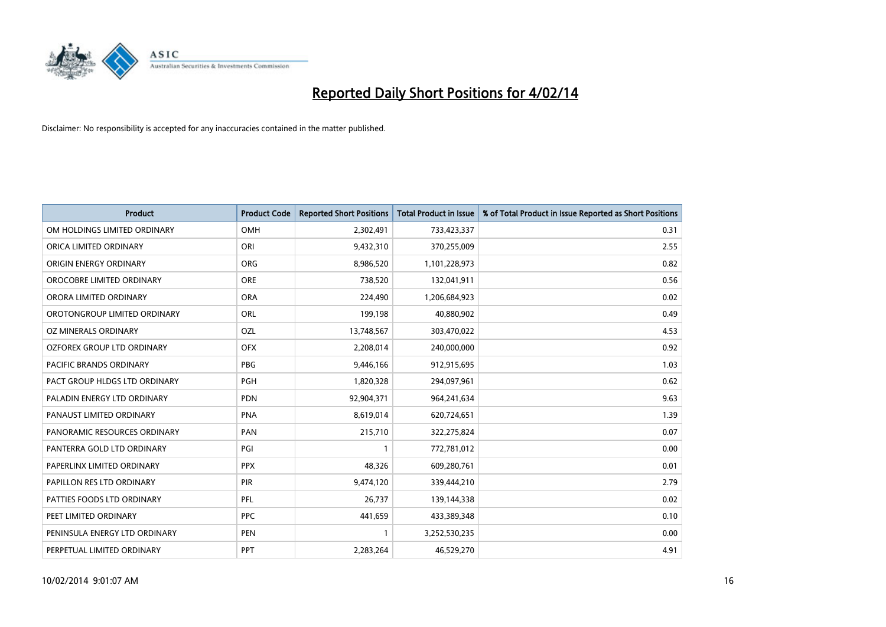

| <b>Product</b>                 | <b>Product Code</b> | <b>Reported Short Positions</b> | <b>Total Product in Issue</b> | % of Total Product in Issue Reported as Short Positions |
|--------------------------------|---------------------|---------------------------------|-------------------------------|---------------------------------------------------------|
| OM HOLDINGS LIMITED ORDINARY   | OMH                 | 2,302,491                       | 733,423,337                   | 0.31                                                    |
| ORICA LIMITED ORDINARY         | ORI                 | 9,432,310                       | 370,255,009                   | 2.55                                                    |
| ORIGIN ENERGY ORDINARY         | <b>ORG</b>          | 8,986,520                       | 1,101,228,973                 | 0.82                                                    |
| OROCOBRE LIMITED ORDINARY      | <b>ORE</b>          | 738,520                         | 132,041,911                   | 0.56                                                    |
| ORORA LIMITED ORDINARY         | <b>ORA</b>          | 224,490                         | 1,206,684,923                 | 0.02                                                    |
| OROTONGROUP LIMITED ORDINARY   | <b>ORL</b>          | 199,198                         | 40,880,902                    | 0.49                                                    |
| OZ MINERALS ORDINARY           | OZL                 | 13,748,567                      | 303,470,022                   | 4.53                                                    |
| OZFOREX GROUP LTD ORDINARY     | <b>OFX</b>          | 2,208,014                       | 240,000,000                   | 0.92                                                    |
| <b>PACIFIC BRANDS ORDINARY</b> | <b>PBG</b>          | 9,446,166                       | 912,915,695                   | 1.03                                                    |
| PACT GROUP HLDGS LTD ORDINARY  | <b>PGH</b>          | 1,820,328                       | 294,097,961                   | 0.62                                                    |
| PALADIN ENERGY LTD ORDINARY    | <b>PDN</b>          | 92,904,371                      | 964,241,634                   | 9.63                                                    |
| PANAUST LIMITED ORDINARY       | <b>PNA</b>          | 8,619,014                       | 620,724,651                   | 1.39                                                    |
| PANORAMIC RESOURCES ORDINARY   | PAN                 | 215,710                         | 322,275,824                   | 0.07                                                    |
| PANTERRA GOLD LTD ORDINARY     | PGI                 | $\mathbf{1}$                    | 772,781,012                   | 0.00                                                    |
| PAPERLINX LIMITED ORDINARY     | <b>PPX</b>          | 48,326                          | 609,280,761                   | 0.01                                                    |
| PAPILLON RES LTD ORDINARY      | PIR                 | 9,474,120                       | 339,444,210                   | 2.79                                                    |
| PATTIES FOODS LTD ORDINARY     | PFL                 | 26,737                          | 139,144,338                   | 0.02                                                    |
| PEET LIMITED ORDINARY          | <b>PPC</b>          | 441,659                         | 433,389,348                   | 0.10                                                    |
| PENINSULA ENERGY LTD ORDINARY  | <b>PEN</b>          | $\mathbf{1}$                    | 3,252,530,235                 | 0.00                                                    |
| PERPETUAL LIMITED ORDINARY     | <b>PPT</b>          | 2,283,264                       | 46,529,270                    | 4.91                                                    |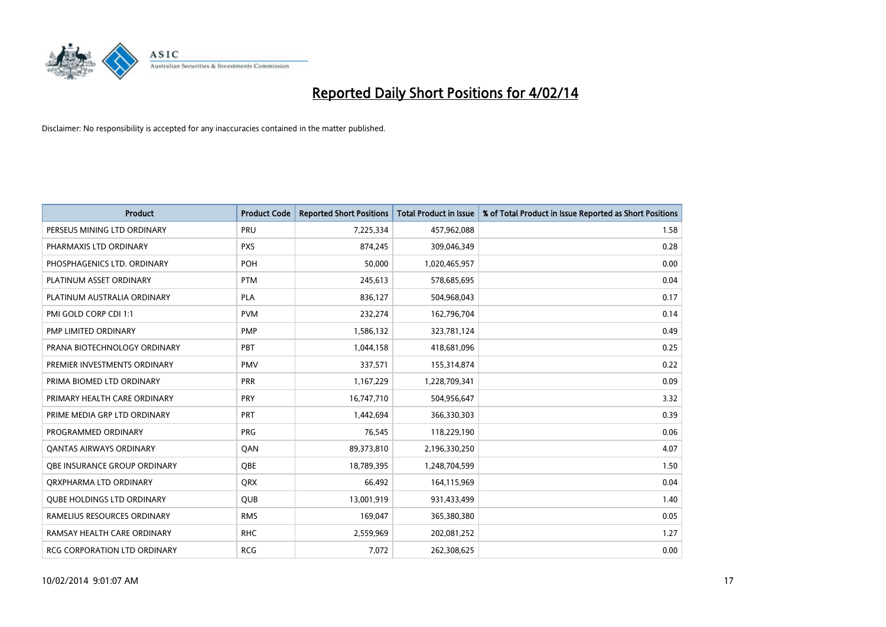

| <b>Product</b>                    | <b>Product Code</b> | <b>Reported Short Positions</b> | <b>Total Product in Issue</b> | % of Total Product in Issue Reported as Short Positions |
|-----------------------------------|---------------------|---------------------------------|-------------------------------|---------------------------------------------------------|
| PERSEUS MINING LTD ORDINARY       | PRU                 | 7,225,334                       | 457,962,088                   | 1.58                                                    |
| PHARMAXIS LTD ORDINARY            | <b>PXS</b>          | 874,245                         | 309,046,349                   | 0.28                                                    |
| PHOSPHAGENICS LTD. ORDINARY       | <b>POH</b>          | 50,000                          | 1,020,465,957                 | 0.00                                                    |
| PLATINUM ASSET ORDINARY           | <b>PTM</b>          | 245,613                         | 578,685,695                   | 0.04                                                    |
| PLATINUM AUSTRALIA ORDINARY       | <b>PLA</b>          | 836,127                         | 504,968,043                   | 0.17                                                    |
| PMI GOLD CORP CDI 1:1             | <b>PVM</b>          | 232,274                         | 162,796,704                   | 0.14                                                    |
| PMP LIMITED ORDINARY              | <b>PMP</b>          | 1,586,132                       | 323,781,124                   | 0.49                                                    |
| PRANA BIOTECHNOLOGY ORDINARY      | <b>PBT</b>          | 1,044,158                       | 418,681,096                   | 0.25                                                    |
| PREMIER INVESTMENTS ORDINARY      | <b>PMV</b>          | 337,571                         | 155,314,874                   | 0.22                                                    |
| PRIMA BIOMED LTD ORDINARY         | <b>PRR</b>          | 1,167,229                       | 1,228,709,341                 | 0.09                                                    |
| PRIMARY HEALTH CARE ORDINARY      | <b>PRY</b>          | 16,747,710                      | 504,956,647                   | 3.32                                                    |
| PRIME MEDIA GRP LTD ORDINARY      | <b>PRT</b>          | 1,442,694                       | 366,330,303                   | 0.39                                                    |
| PROGRAMMED ORDINARY               | <b>PRG</b>          | 76,545                          | 118,229,190                   | 0.06                                                    |
| <b>QANTAS AIRWAYS ORDINARY</b>    | QAN                 | 89,373,810                      | 2,196,330,250                 | 4.07                                                    |
| OBE INSURANCE GROUP ORDINARY      | <b>OBE</b>          | 18,789,395                      | 1,248,704,599                 | 1.50                                                    |
| QRXPHARMA LTD ORDINARY            | <b>QRX</b>          | 66,492                          | 164,115,969                   | 0.04                                                    |
| <b>QUBE HOLDINGS LTD ORDINARY</b> | <b>QUB</b>          | 13,001,919                      | 931,433,499                   | 1.40                                                    |
| RAMELIUS RESOURCES ORDINARY       | <b>RMS</b>          | 169,047                         | 365,380,380                   | 0.05                                                    |
| RAMSAY HEALTH CARE ORDINARY       | <b>RHC</b>          | 2,559,969                       | 202,081,252                   | 1.27                                                    |
| RCG CORPORATION LTD ORDINARY      | <b>RCG</b>          | 7,072                           | 262,308,625                   | 0.00                                                    |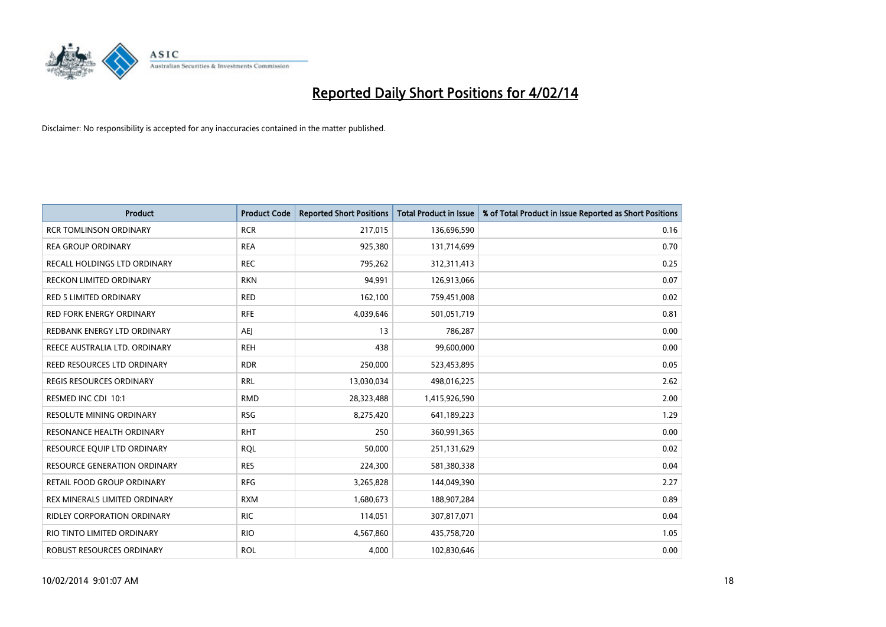

| <b>Product</b>                      | <b>Product Code</b> | <b>Reported Short Positions</b> | <b>Total Product in Issue</b> | % of Total Product in Issue Reported as Short Positions |
|-------------------------------------|---------------------|---------------------------------|-------------------------------|---------------------------------------------------------|
| <b>RCR TOMLINSON ORDINARY</b>       | <b>RCR</b>          | 217,015                         | 136,696,590                   | 0.16                                                    |
| <b>REA GROUP ORDINARY</b>           | <b>REA</b>          | 925,380                         | 131,714,699                   | 0.70                                                    |
| RECALL HOLDINGS LTD ORDINARY        | <b>REC</b>          | 795,262                         | 312,311,413                   | 0.25                                                    |
| RECKON LIMITED ORDINARY             | <b>RKN</b>          | 94,991                          | 126,913,066                   | 0.07                                                    |
| <b>RED 5 LIMITED ORDINARY</b>       | <b>RED</b>          | 162,100                         | 759,451,008                   | 0.02                                                    |
| <b>RED FORK ENERGY ORDINARY</b>     | <b>RFE</b>          | 4,039,646                       | 501,051,719                   | 0.81                                                    |
| REDBANK ENERGY LTD ORDINARY         | AEJ                 | 13                              | 786,287                       | 0.00                                                    |
| REECE AUSTRALIA LTD. ORDINARY       | <b>REH</b>          | 438                             | 99,600,000                    | 0.00                                                    |
| <b>REED RESOURCES LTD ORDINARY</b>  | <b>RDR</b>          | 250,000                         | 523,453,895                   | 0.05                                                    |
| <b>REGIS RESOURCES ORDINARY</b>     | <b>RRL</b>          | 13,030,034                      | 498,016,225                   | 2.62                                                    |
| RESMED INC CDI 10:1                 | <b>RMD</b>          | 28,323,488                      | 1,415,926,590                 | 2.00                                                    |
| <b>RESOLUTE MINING ORDINARY</b>     | <b>RSG</b>          | 8,275,420                       | 641,189,223                   | 1.29                                                    |
| RESONANCE HEALTH ORDINARY           | <b>RHT</b>          | 250                             | 360,991,365                   | 0.00                                                    |
| RESOURCE EQUIP LTD ORDINARY         | <b>RQL</b>          | 50,000                          | 251,131,629                   | 0.02                                                    |
| <b>RESOURCE GENERATION ORDINARY</b> | <b>RES</b>          | 224,300                         | 581,380,338                   | 0.04                                                    |
| RETAIL FOOD GROUP ORDINARY          | <b>RFG</b>          | 3,265,828                       | 144,049,390                   | 2.27                                                    |
| REX MINERALS LIMITED ORDINARY       | <b>RXM</b>          | 1,680,673                       | 188,907,284                   | 0.89                                                    |
| RIDLEY CORPORATION ORDINARY         | <b>RIC</b>          | 114,051                         | 307,817,071                   | 0.04                                                    |
| RIO TINTO LIMITED ORDINARY          | <b>RIO</b>          | 4,567,860                       | 435,758,720                   | 1.05                                                    |
| ROBUST RESOURCES ORDINARY           | <b>ROL</b>          | 4,000                           | 102,830,646                   | 0.00                                                    |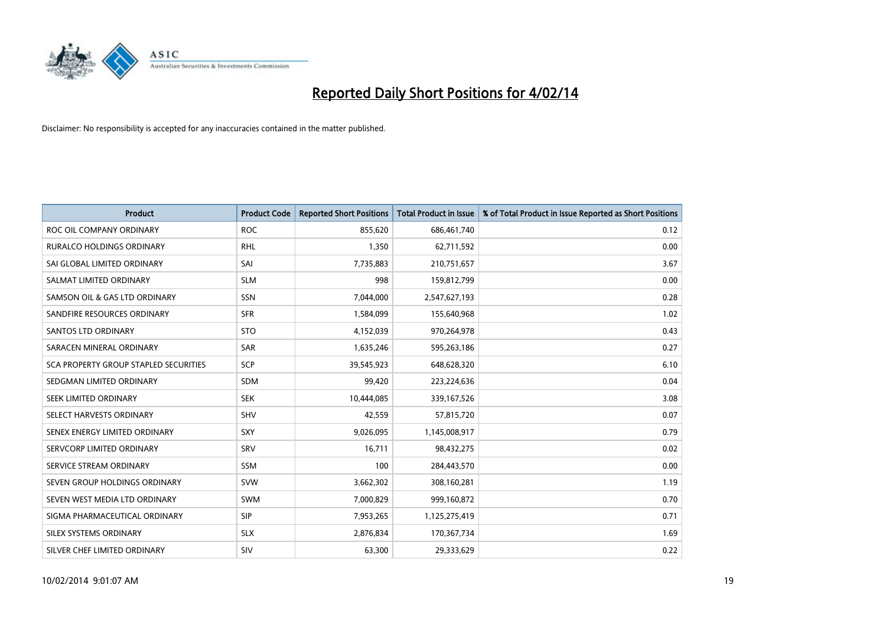

| <b>Product</b>                        | <b>Product Code</b> | <b>Reported Short Positions</b> | <b>Total Product in Issue</b> | % of Total Product in Issue Reported as Short Positions |
|---------------------------------------|---------------------|---------------------------------|-------------------------------|---------------------------------------------------------|
| ROC OIL COMPANY ORDINARY              | <b>ROC</b>          | 855,620                         | 686,461,740                   | 0.12                                                    |
| <b>RURALCO HOLDINGS ORDINARY</b>      | RHL                 | 1,350                           | 62,711,592                    | 0.00                                                    |
| SAI GLOBAL LIMITED ORDINARY           | SAI                 | 7,735,883                       | 210,751,657                   | 3.67                                                    |
| SALMAT LIMITED ORDINARY               | <b>SLM</b>          | 998                             | 159,812,799                   | 0.00                                                    |
| SAMSON OIL & GAS LTD ORDINARY         | SSN                 | 7,044,000                       | 2,547,627,193                 | 0.28                                                    |
| SANDFIRE RESOURCES ORDINARY           | <b>SFR</b>          | 1,584,099                       | 155,640,968                   | 1.02                                                    |
| SANTOS LTD ORDINARY                   | <b>STO</b>          | 4,152,039                       | 970,264,978                   | 0.43                                                    |
| SARACEN MINERAL ORDINARY              | SAR                 | 1,635,246                       | 595,263,186                   | 0.27                                                    |
| SCA PROPERTY GROUP STAPLED SECURITIES | <b>SCP</b>          | 39,545,923                      | 648,628,320                   | 6.10                                                    |
| SEDGMAN LIMITED ORDINARY              | <b>SDM</b>          | 99,420                          | 223,224,636                   | 0.04                                                    |
| SEEK LIMITED ORDINARY                 | <b>SEK</b>          | 10,444,085                      | 339,167,526                   | 3.08                                                    |
| SELECT HARVESTS ORDINARY              | <b>SHV</b>          | 42,559                          | 57,815,720                    | 0.07                                                    |
| SENEX ENERGY LIMITED ORDINARY         | <b>SXY</b>          | 9,026,095                       | 1,145,008,917                 | 0.79                                                    |
| SERVCORP LIMITED ORDINARY             | SRV                 | 16,711                          | 98,432,275                    | 0.02                                                    |
| SERVICE STREAM ORDINARY               | <b>SSM</b>          | 100                             | 284,443,570                   | 0.00                                                    |
| SEVEN GROUP HOLDINGS ORDINARY         | <b>SVW</b>          | 3,662,302                       | 308,160,281                   | 1.19                                                    |
| SEVEN WEST MEDIA LTD ORDINARY         | SWM                 | 7,000,829                       | 999,160,872                   | 0.70                                                    |
| SIGMA PHARMACEUTICAL ORDINARY         | <b>SIP</b>          | 7,953,265                       | 1,125,275,419                 | 0.71                                                    |
| SILEX SYSTEMS ORDINARY                | <b>SLX</b>          | 2,876,834                       | 170,367,734                   | 1.69                                                    |
| SILVER CHEF LIMITED ORDINARY          | SIV                 | 63,300                          | 29,333,629                    | 0.22                                                    |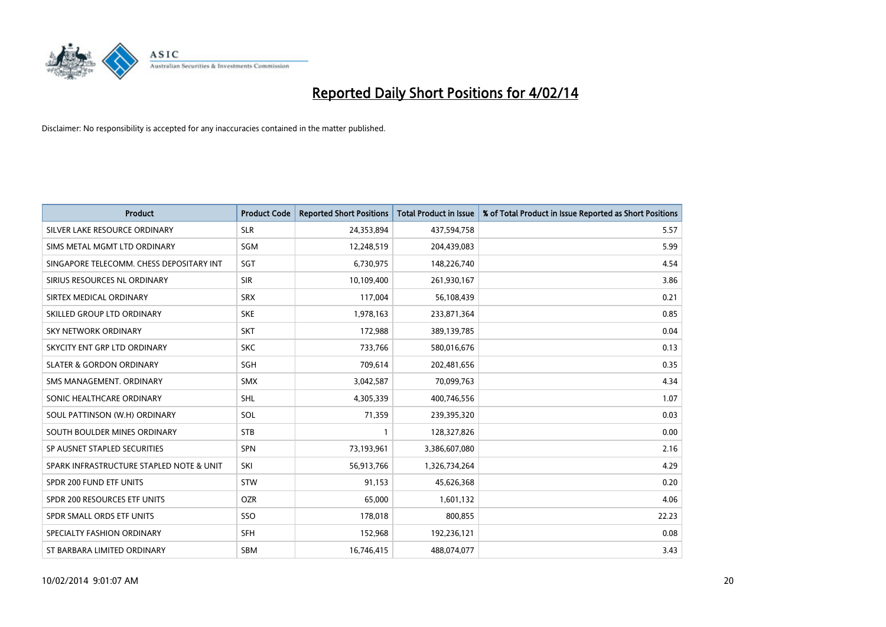

| <b>Product</b>                           | <b>Product Code</b> | <b>Reported Short Positions</b> | <b>Total Product in Issue</b> | % of Total Product in Issue Reported as Short Positions |
|------------------------------------------|---------------------|---------------------------------|-------------------------------|---------------------------------------------------------|
| SILVER LAKE RESOURCE ORDINARY            | <b>SLR</b>          | 24,353,894                      | 437,594,758                   | 5.57                                                    |
| SIMS METAL MGMT LTD ORDINARY             | SGM                 | 12,248,519                      | 204,439,083                   | 5.99                                                    |
| SINGAPORE TELECOMM. CHESS DEPOSITARY INT | <b>SGT</b>          | 6,730,975                       | 148,226,740                   | 4.54                                                    |
| SIRIUS RESOURCES NL ORDINARY             | <b>SIR</b>          | 10,109,400                      | 261,930,167                   | 3.86                                                    |
| SIRTEX MEDICAL ORDINARY                  | <b>SRX</b>          | 117,004                         | 56,108,439                    | 0.21                                                    |
| SKILLED GROUP LTD ORDINARY               | <b>SKE</b>          | 1,978,163                       | 233,871,364                   | 0.85                                                    |
| <b>SKY NETWORK ORDINARY</b>              | <b>SKT</b>          | 172,988                         | 389,139,785                   | 0.04                                                    |
| SKYCITY ENT GRP LTD ORDINARY             | <b>SKC</b>          | 733,766                         | 580,016,676                   | 0.13                                                    |
| <b>SLATER &amp; GORDON ORDINARY</b>      | SGH                 | 709,614                         | 202,481,656                   | 0.35                                                    |
| SMS MANAGEMENT, ORDINARY                 | <b>SMX</b>          | 3,042,587                       | 70,099,763                    | 4.34                                                    |
| SONIC HEALTHCARE ORDINARY                | <b>SHL</b>          | 4,305,339                       | 400,746,556                   | 1.07                                                    |
| SOUL PATTINSON (W.H) ORDINARY            | SOL                 | 71,359                          | 239,395,320                   | 0.03                                                    |
| SOUTH BOULDER MINES ORDINARY             | <b>STB</b>          | 1                               | 128,327,826                   | 0.00                                                    |
| SP AUSNET STAPLED SECURITIES             | SPN                 | 73,193,961                      | 3,386,607,080                 | 2.16                                                    |
| SPARK INFRASTRUCTURE STAPLED NOTE & UNIT | SKI                 | 56,913,766                      | 1,326,734,264                 | 4.29                                                    |
| SPDR 200 FUND ETF UNITS                  | <b>STW</b>          | 91,153                          | 45,626,368                    | 0.20                                                    |
| SPDR 200 RESOURCES ETF UNITS             | <b>OZR</b>          | 65,000                          | 1,601,132                     | 4.06                                                    |
| SPDR SMALL ORDS ETF UNITS                | SSO                 | 178,018                         | 800,855                       | 22.23                                                   |
| SPECIALTY FASHION ORDINARY               | <b>SFH</b>          | 152,968                         | 192,236,121                   | 0.08                                                    |
| ST BARBARA LIMITED ORDINARY              | <b>SBM</b>          | 16,746,415                      | 488.074.077                   | 3.43                                                    |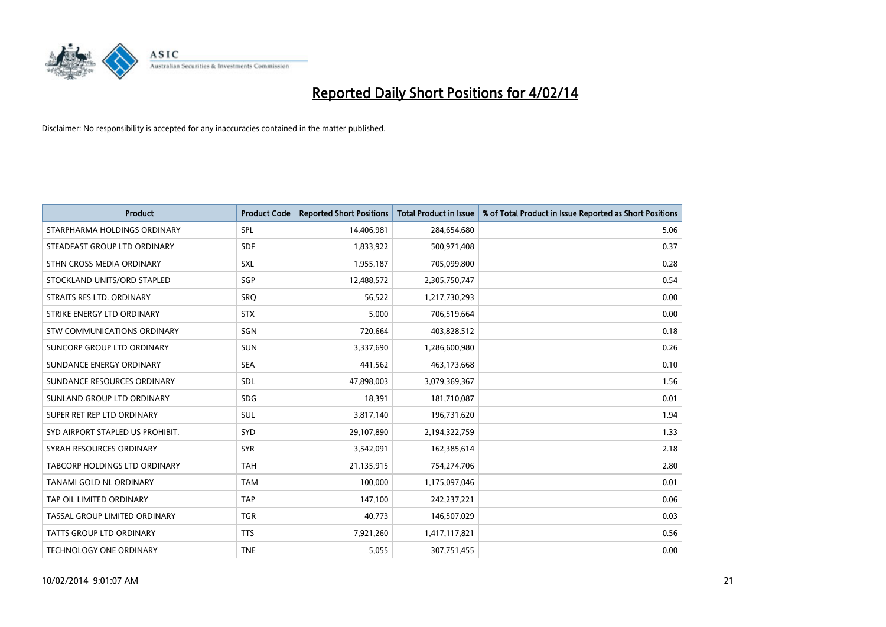

| <b>Product</b>                   | <b>Product Code</b> | <b>Reported Short Positions</b> | <b>Total Product in Issue</b> | % of Total Product in Issue Reported as Short Positions |
|----------------------------------|---------------------|---------------------------------|-------------------------------|---------------------------------------------------------|
| STARPHARMA HOLDINGS ORDINARY     | <b>SPL</b>          | 14,406,981                      | 284,654,680                   | 5.06                                                    |
| STEADFAST GROUP LTD ORDINARY     | <b>SDF</b>          | 1,833,922                       | 500,971,408                   | 0.37                                                    |
| STHN CROSS MEDIA ORDINARY        | <b>SXL</b>          | 1,955,187                       | 705,099,800                   | 0.28                                                    |
| STOCKLAND UNITS/ORD STAPLED      | SGP                 | 12,488,572                      | 2,305,750,747                 | 0.54                                                    |
| STRAITS RES LTD. ORDINARY        | SRO                 | 56,522                          | 1,217,730,293                 | 0.00                                                    |
| STRIKE ENERGY LTD ORDINARY       | <b>STX</b>          | 5,000                           | 706,519,664                   | 0.00                                                    |
| STW COMMUNICATIONS ORDINARY      | <b>SGN</b>          | 720,664                         | 403,828,512                   | 0.18                                                    |
| SUNCORP GROUP LTD ORDINARY       | <b>SUN</b>          | 3,337,690                       | 1,286,600,980                 | 0.26                                                    |
| SUNDANCE ENERGY ORDINARY         | <b>SEA</b>          | 441,562                         | 463,173,668                   | 0.10                                                    |
| SUNDANCE RESOURCES ORDINARY      | <b>SDL</b>          | 47,898,003                      | 3,079,369,367                 | 1.56                                                    |
| SUNLAND GROUP LTD ORDINARY       | <b>SDG</b>          | 18,391                          | 181,710,087                   | 0.01                                                    |
| SUPER RET REP LTD ORDINARY       | <b>SUL</b>          | 3,817,140                       | 196,731,620                   | 1.94                                                    |
| SYD AIRPORT STAPLED US PROHIBIT. | <b>SYD</b>          | 29,107,890                      | 2,194,322,759                 | 1.33                                                    |
| SYRAH RESOURCES ORDINARY         | <b>SYR</b>          | 3,542,091                       | 162,385,614                   | 2.18                                                    |
| TABCORP HOLDINGS LTD ORDINARY    | <b>TAH</b>          | 21,135,915                      | 754,274,706                   | 2.80                                                    |
| TANAMI GOLD NL ORDINARY          | <b>TAM</b>          | 100,000                         | 1,175,097,046                 | 0.01                                                    |
| TAP OIL LIMITED ORDINARY         | <b>TAP</b>          | 147,100                         | 242,237,221                   | 0.06                                                    |
| TASSAL GROUP LIMITED ORDINARY    | <b>TGR</b>          | 40,773                          | 146,507,029                   | 0.03                                                    |
| <b>TATTS GROUP LTD ORDINARY</b>  | <b>TTS</b>          | 7,921,260                       | 1,417,117,821                 | 0.56                                                    |
| TECHNOLOGY ONE ORDINARY          | <b>TNE</b>          | 5,055                           | 307,751,455                   | 0.00                                                    |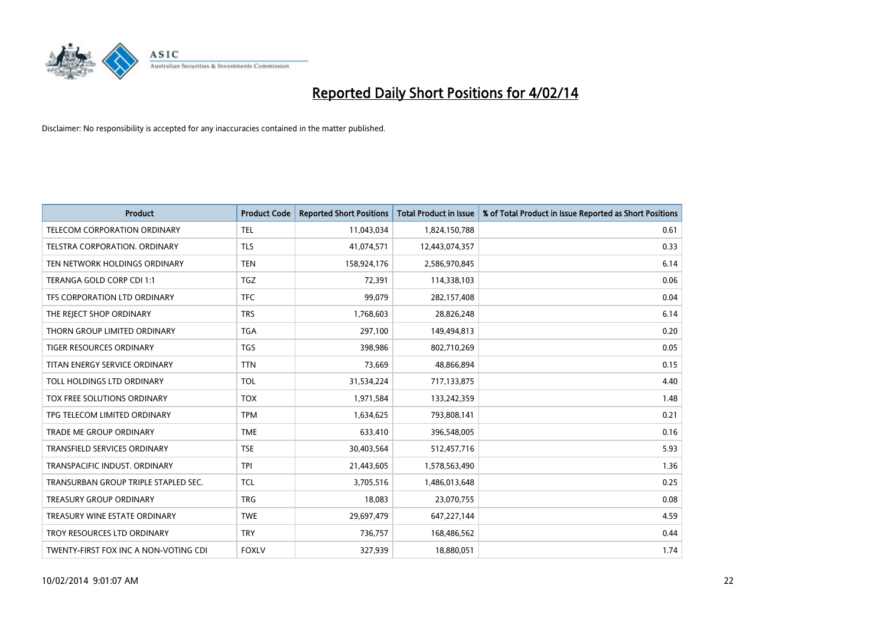

| <b>Product</b>                        | <b>Product Code</b> | <b>Reported Short Positions</b> | <b>Total Product in Issue</b> | % of Total Product in Issue Reported as Short Positions |
|---------------------------------------|---------------------|---------------------------------|-------------------------------|---------------------------------------------------------|
| <b>TELECOM CORPORATION ORDINARY</b>   | <b>TEL</b>          | 11,043,034                      | 1,824,150,788                 | 0.61                                                    |
| TELSTRA CORPORATION. ORDINARY         | <b>TLS</b>          | 41,074,571                      | 12,443,074,357                | 0.33                                                    |
| TEN NETWORK HOLDINGS ORDINARY         | <b>TEN</b>          | 158,924,176                     | 2,586,970,845                 | 6.14                                                    |
| TERANGA GOLD CORP CDI 1:1             | <b>TGZ</b>          | 72,391                          | 114,338,103                   | 0.06                                                    |
| TFS CORPORATION LTD ORDINARY          | <b>TFC</b>          | 99,079                          | 282,157,408                   | 0.04                                                    |
| THE REJECT SHOP ORDINARY              | <b>TRS</b>          | 1,768,603                       | 28,826,248                    | 6.14                                                    |
| THORN GROUP LIMITED ORDINARY          | <b>TGA</b>          | 297,100                         | 149,494,813                   | 0.20                                                    |
| TIGER RESOURCES ORDINARY              | <b>TGS</b>          | 398,986                         | 802,710,269                   | 0.05                                                    |
| TITAN ENERGY SERVICE ORDINARY         | <b>TTN</b>          | 73,669                          | 48,866,894                    | 0.15                                                    |
| TOLL HOLDINGS LTD ORDINARY            | <b>TOL</b>          | 31,534,224                      | 717,133,875                   | 4.40                                                    |
| TOX FREE SOLUTIONS ORDINARY           | <b>TOX</b>          | 1,971,584                       | 133,242,359                   | 1.48                                                    |
| TPG TELECOM LIMITED ORDINARY          | <b>TPM</b>          | 1,634,625                       | 793,808,141                   | 0.21                                                    |
| <b>TRADE ME GROUP ORDINARY</b>        | <b>TME</b>          | 633,410                         | 396,548,005                   | 0.16                                                    |
| <b>TRANSFIELD SERVICES ORDINARY</b>   | <b>TSE</b>          | 30,403,564                      | 512,457,716                   | 5.93                                                    |
| TRANSPACIFIC INDUST, ORDINARY         | <b>TPI</b>          | 21,443,605                      | 1,578,563,490                 | 1.36                                                    |
| TRANSURBAN GROUP TRIPLE STAPLED SEC.  | <b>TCL</b>          | 3,705,516                       | 1,486,013,648                 | 0.25                                                    |
| <b>TREASURY GROUP ORDINARY</b>        | <b>TRG</b>          | 18,083                          | 23,070,755                    | 0.08                                                    |
| TREASURY WINE ESTATE ORDINARY         | <b>TWE</b>          | 29,697,479                      | 647,227,144                   | 4.59                                                    |
| TROY RESOURCES LTD ORDINARY           | <b>TRY</b>          | 736,757                         | 168,486,562                   | 0.44                                                    |
| TWENTY-FIRST FOX INC A NON-VOTING CDI | <b>FOXLV</b>        | 327,939                         | 18,880,051                    | 1.74                                                    |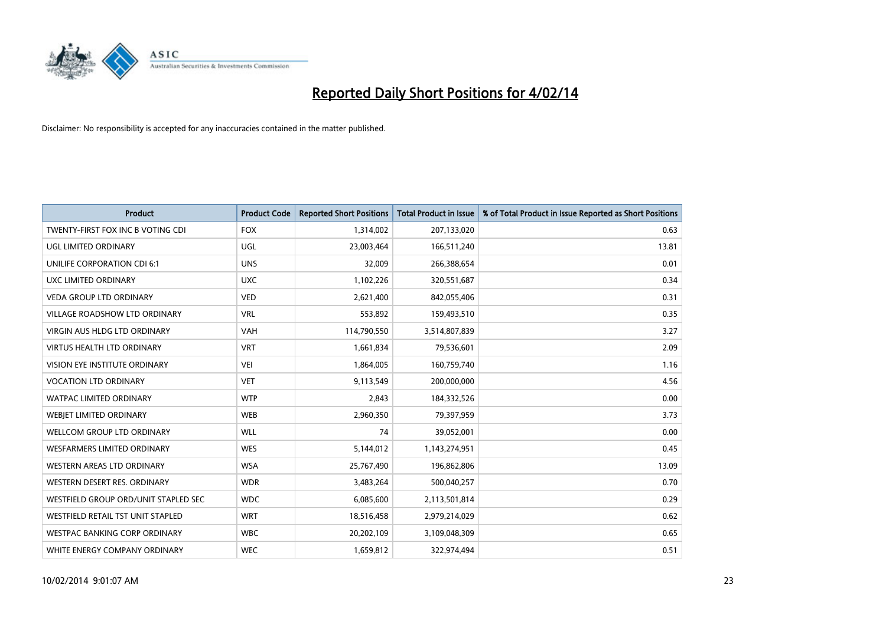

| <b>Product</b>                       | <b>Product Code</b> | <b>Reported Short Positions</b> | <b>Total Product in Issue</b> | % of Total Product in Issue Reported as Short Positions |
|--------------------------------------|---------------------|---------------------------------|-------------------------------|---------------------------------------------------------|
| TWENTY-FIRST FOX INC B VOTING CDI    | <b>FOX</b>          | 1,314,002                       | 207,133,020                   | 0.63                                                    |
| UGL LIMITED ORDINARY                 | UGL                 | 23,003,464                      | 166,511,240                   | 13.81                                                   |
| <b>UNILIFE CORPORATION CDI 6:1</b>   | <b>UNS</b>          | 32,009                          | 266,388,654                   | 0.01                                                    |
| UXC LIMITED ORDINARY                 | <b>UXC</b>          | 1,102,226                       | 320,551,687                   | 0.34                                                    |
| <b>VEDA GROUP LTD ORDINARY</b>       | <b>VED</b>          | 2,621,400                       | 842,055,406                   | 0.31                                                    |
| <b>VILLAGE ROADSHOW LTD ORDINARY</b> | <b>VRL</b>          | 553,892                         | 159,493,510                   | 0.35                                                    |
| VIRGIN AUS HLDG LTD ORDINARY         | <b>VAH</b>          | 114,790,550                     | 3,514,807,839                 | 3.27                                                    |
| <b>VIRTUS HEALTH LTD ORDINARY</b>    | <b>VRT</b>          | 1,661,834                       | 79,536,601                    | 2.09                                                    |
| VISION EYE INSTITUTE ORDINARY        | <b>VEI</b>          | 1,864,005                       | 160,759,740                   | 1.16                                                    |
| <b>VOCATION LTD ORDINARY</b>         | <b>VET</b>          | 9,113,549                       | 200,000,000                   | 4.56                                                    |
| <b>WATPAC LIMITED ORDINARY</b>       | <b>WTP</b>          | 2,843                           | 184,332,526                   | 0.00                                                    |
| WEBJET LIMITED ORDINARY              | <b>WEB</b>          | 2,960,350                       | 79,397,959                    | 3.73                                                    |
| <b>WELLCOM GROUP LTD ORDINARY</b>    | <b>WLL</b>          | 74                              | 39,052,001                    | 0.00                                                    |
| <b>WESFARMERS LIMITED ORDINARY</b>   | <b>WES</b>          | 5,144,012                       | 1,143,274,951                 | 0.45                                                    |
| WESTERN AREAS LTD ORDINARY           | <b>WSA</b>          | 25,767,490                      | 196,862,806                   | 13.09                                                   |
| WESTERN DESERT RES. ORDINARY         | <b>WDR</b>          | 3,483,264                       | 500,040,257                   | 0.70                                                    |
| WESTFIELD GROUP ORD/UNIT STAPLED SEC | <b>WDC</b>          | 6,085,600                       | 2,113,501,814                 | 0.29                                                    |
| WESTFIELD RETAIL TST UNIT STAPLED    | <b>WRT</b>          | 18,516,458                      | 2,979,214,029                 | 0.62                                                    |
| <b>WESTPAC BANKING CORP ORDINARY</b> | <b>WBC</b>          | 20,202,109                      | 3,109,048,309                 | 0.65                                                    |
| WHITE ENERGY COMPANY ORDINARY        | <b>WEC</b>          | 1,659,812                       | 322,974,494                   | 0.51                                                    |